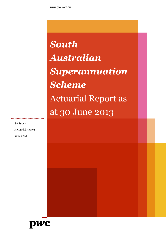*South Australian Superannuation Scheme* Actuarial Report as at 30 June 2013

*SA Super Actuarial Report June 2014*

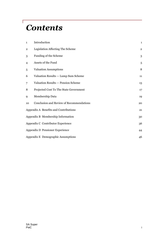# *Contents*

 $\sqrt{2}$ 

| $\mathbf{1}$            | Introduction                             | $\mathbf{1}$   |
|-------------------------|------------------------------------------|----------------|
| $\overline{\mathbf{2}}$ | Legislation Affecting The Scheme         | $\overline{2}$ |
| 3                       | Funding of the Scheme                    | 3              |
| 4                       | Assets of the Fund                       | 5              |
| 5                       | Valuation Assumptions                    | 8              |
| 6                       | Valuation Results - Lump Sum Scheme      | 11             |
| 7                       | Valuation Results - Pension Scheme       | 13             |
| 8                       | Projected Cost To The State Government   | 17             |
| 9                       | Membership Data                          | 19             |
| 10                      | Conclusion and Review of Recommendations | 20             |
|                         | Appendix A Benefits and Contributions    | 21             |
|                         | Appendix B Membership Information        | 30             |
|                         | Appendix C Contributor Experience        | 36             |
|                         | Appendix D Pensioner Experience          | 44             |
|                         | Appendix E Demographic Assumptions       | 46             |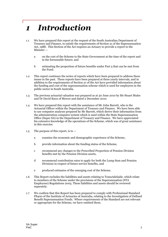# *1 Introduction*

- 1.1 We have prepared this report at the request of the South Australian Department of Treasury and Finance, to satisfy the requirements of Section 21 of the Superannuation Act, 1988. This Section of the Act requires an Actuary to provide a report to the Minister
	- a on the cost of the Scheme to the State Government at the time of the report and in the foreseeable future; and
	- b estimating the proportion of future benefits under Part 5 that can be met from the Fund.
- 1.2 This report continues the series of reports which have been prepared to address these issues in the past. These reports have been prepared at three yearly intervals, and in addition to the requirements of Section 21 of the Act have provided information about the funding and cost of the superannuation scheme which is used for employees in the public sector in South Australia.
- 1.3 The previous actuarial valuation was prepared as at 30 June 2010 by Mr Stuart Mules and Dr David Knox of Mercer and dated 2 December 2010.
- 1.4 We have prepared this report with the assistance of Mr John Barrett, who is the Actuarial Officer within the Department of Treasury and Finance. We have been able to use computer analyses prepared by Mr Barrett, which derive their information from the administration computer system which is used within the State Superannuation Office (Super SA) in the Department of Treasury and Finance. We have appreciated his extensive knowledge of the operations of the Scheme, which was of great assistance in this exercise.
- 1.5 The purpose of this report, is to
	- a examine the economic and demographic experience of the Scheme,
	- b provide information about the funding status of the Scheme,
	- c recommend any changes to the Prescribed Proportion of Pension Division benefits met by the Pension Division assets,
	- d recommend contribution rates to apply for both the Lump Sum and Pension Divisions in respect of future service benefits, and
	- e produced estimates of the emerging cost of the Scheme.
- 1.6 This Report excludes the liabilities and assets relating to TransAdelaide, which relate to members of the Scheme under the provisions of the Superannuation (STA Employees) Regulations 2005. These liabilities and assets should be reviewed separately.
- 1.7 We confirm that this Report has been prepared to comply with Professional Standard PS400 of the Institute of Actuaries of Australia, relating to the Investigation of Defined Benefit Superannuation Funds. Where requirements of the Standard are not relevant or appropriate for the Scheme, we have omitted them.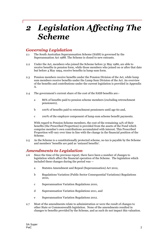# *2 Legislation Affecting The Scheme*

## *Governing Legislation*

- 2.1 The South Australian Superannuation Scheme (SASS) is governed by the Superannuation Act 1988. The Scheme is closed to new entrants.
- 2.2 Under the Act, members who joined the Scheme before 31 May 1986, are able to receive benefits in pension form, while those members who joined on or after that date but before 4 May 1994, receive benefits in lump sum form.
- 2.3 Pension members receive benefits under the Pension Division of the Act, while lump sum members receive benefits under the Lump Sum Division of the Act. An overview of the benefits and contributions under the current legislation is provided in Appendix A.
- 2.4 The government's current share of the cost of the SASS benefits are:
	- a 86% of benefits paid to pension scheme members (excluding retrenchment pensioners),
	- b 100% of benefits paid to retrenchment pensioners until age 60 and,
	- c 100% of the employer component of lump sum scheme benefit payments.

With regard to Pension Scheme members, the cost of the remaining 14% of their benefits (the Prescribed Proportion) is provided from the assets of the Fund which comprise member's own contributions accumulated with interest. This Prescribed Proportion will vary over time in line with the change in the financial position of the Scheme.

2.5 As the Scheme is a constitutionally protected scheme, no tax is payable by the Scheme and members' benefits are paid as 'untaxed benefits'.

### *Amendments to Legislation*

- 2.6 Since the time of the previous report, there have been a number of changes to legislation which affect the financial operation of the Scheme. The legislation which included these changes during the period was
	- a Statutes Amendment and Repeal (Superannuation) Act 2012,
	- b Regulations Variation (Public Sector Consequential Variations) Regulations 2010,
	- c Superannuation Variation Regulations 2010,
	- d Superannuation Variation Regulations 2011, and
	- e Superannuation Variation Regulations 2012.
- 2.7 Most of the amendments relate to administration or were the result of changes to other State or Commonwealth legislation. None of the amendments resulted in changes to benefits provided by the Scheme, and as such do not impact this valuation.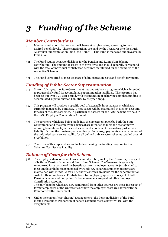# *3 Funding of the Scheme*

## *Member Contributions*

- 3.1 Members make contributions to the Scheme at varying rates, according to their desired benefit levels. These contributions are paid by the Treasurer into the South Australian Superannuation Fund (the "Fund"). This Fund is managed and invested by Funds SA.
- 3.2 The Fund retains separate divisions for the Pension and Lump Sum Scheme contributors. The amount of assets in the two divisions should generally correspond with the total of individual contribution accounts maintained for the members of the respective Schemes.
- 3.3 The Fund is required to meet its share of administration costs and benefit payments.

### *Funding of Public Sector Superannuation*

- 3.4 Since 1 July 1994, the State Government has undertaken a program which is intended to progressively fund its accumulated superannuation liabilities. This program has been set out over a 40 year period, with the intention of achieving complete funding of accumulated superannuation liabilities by the year 2034.
- 3.5 This program will produce a specific pool of externally invested assets, which are currently managed by Funds SA. These assets will be maintained in distinct accounts for each of the State schemes. In particular the assets for the SASS scheme are held in the SASS Employer Contribution Account.
- 3.6 The payments which are being made into the investment pool (by both the State Government and the employing agencies) are intended to meet the cost of newly accruing benefits each year, as well as to meet a portion of the existing past service liability. During the nineteen years ending 30 June 2013, payments made in respect of the unfunded past service liability for all defined public sector schemes totalled around \$5.0 billion.
- 3.7 The scope of this report does not include accessing the funding program for the Scheme's Past Service Liability.

## *Balance of Costs for this Scheme*

3.8 The employer share of benefit costs is initially totally met by the Treasurer, in respect of both the Pension Scheme and Lump Sum Scheme. The Treasurer is generally reimbursed for a portion of the benefit cost from employer accounts (established to meet employer liabilities) managed by Funds SA. Separate employer accounts are maintained with Funds SA for all Authorities which are liable for the superannuation costs for their employees. Contributions by employing agencies in respect of both Pension Scheme and Lump Sum Scheme members are paid into this Employer Contribution Account.

The only benefits which are now reimbursed from other sources are those in respect of former employees of the Universities, where the employer costs are shared with the Commonwealth Government.

3.9 Under the current "cost sharing" arrangements, the Pension division of the Fund meets a Prescribed Proportion of benefit payment costs, currently 14%, with the exception of:–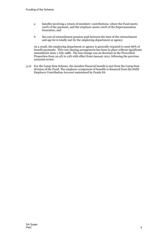- a benefits involving a return of members' contributions, where the Fund meets 100% of the payment, and the employer meets 100% of the Superannuation Guarantee, and
- b the cost of retrenchment pension paid between the time of the retrenchment and age 60 is totally met by the employing department or agency.

As a result, the employing department or agency is generally required to meet 86% of benefit payments. This cost sharing arrangement has been in place without significant amendment since 1 July 1988. The last change was an decrease in the Prescribed Proportion from 20.4% to 14% with effect from January 2011, following the previous actuarial review.

3.10 For the Lump Sum Scheme, the member financed benefit is met from the Lump Sum division of the Fund. The employer component of benefits is financed from the SASS Employer Contribution Account maintained by Funds SA.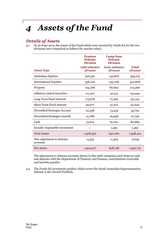# *4 Assets of the Fund*

## *Details of Assets*

4.1 At 30 June 2013, the assets of the Fund which were invested by Funds SA for the two divisions were comprised as follows (by market value) :

|                                       | <b>Pension</b><br><b>Scheme</b><br><b>Division</b> | <b>Lump Sum</b><br><b>Scheme</b><br><b>Division</b> |                            |
|---------------------------------------|----------------------------------------------------|-----------------------------------------------------|----------------------------|
| <b>Asset Type</b>                     | (old scheme)<br>$(\$'000)$                         | (new scheme)<br>$(\$'000)$                          | <b>Total</b><br>$(\$'000)$ |
| <b>Australian Equities</b>            | 326,397                                            | 132,818                                             | 459,215                    |
| <b>International Equities</b>         | 356,100                                            | 145,708                                             | 501,808                    |
| Property                              | 194,268                                            | 80,692                                              | 274,960                    |
| Inflation Linked Securities           | 111,427                                            | 42,515                                              | 153,942                    |
| Long Term Fixed Interest              | 173,678                                            | 77,463                                              | 251,141                    |
| <b>Short Term Fixed Interest</b>      | 99,677                                             | 51,970                                              | 151,647                    |
| Diversified Strategies Income         | 22,338                                             | 13,454                                              | 35,792                     |
| Diversified Strategies Growth         | 10,788                                             | 16,948                                              | 27,736                     |
| Cash                                  | 13,679                                             | 67,001                                              | 80,680                     |
| Socially responsible investment       |                                                    | 1,493                                               | 1,493                      |
| <b>Total Assets</b>                   | 1,308,352                                          | 630,062                                             | 1,938,414                  |
| Plus adjustment to Scheme<br>accounts | $-4,335$                                           | $-1,304$                                            | $-5,639$                   |
| Net Assets                            | 1,304,017                                          | 628,758                                             | 1,932,775                  |

The adjustment to Scheme accounts shown in this table comprises such items as cash and deposits with the Department of Treasury and Finance, contributions receivable and benefits payable.

4.2 The Funds SA investment product which covers the South Australian Superannuation Scheme is the Growth Portfolio.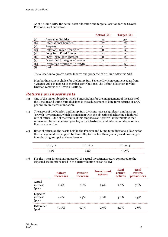|      |                                  | Actual $(\%)$ | Target (%) |
|------|----------------------------------|---------------|------------|
|      | <b>Australian Equities</b>       | 25            |            |
|      | <b>International Equities</b>    |               |            |
|      | Property                         | ᅚ             |            |
|      | Inflation-Linked Securities      |               |            |
| ۱ م) | Long Term Fixed Interest         |               |            |
|      | <b>Short Term Fixed Interest</b> |               |            |
|      | Diversified Strategies - Income  |               |            |
|      | Diversified Strategies - Growth  |               |            |
|      | ∵ash                             |               |            |

As at 30 June 2013, the actual asset allocation and target allocation for the Growth Portfolio is set out below:–

The allocation to growth assets (shares and property) at 30 June 2013 was 70%.

Member investment choice for the Lump Sum Scheme Division commenced as from 5 August 2004 in respect of member contributions. The default allocation for this Division remains the Growth Portfolio.

### *Returns on Investments*

- 4.3 One of the major objectives which Funds SA has for the management of the assets of the Pension and Lump Sum divisions is the achievement of long term returns of 4.5% per annum in excess of inflation.
- 4.4 The assets of the Pension and Lump Sum divisions have a significant emphasis on "growth" investments, which is consistent with the objective of achieving a high real rate of return. One of the results of this emphasis on "growth" investments is that returns will be variable from year to year, as Australian and international economies fluctuate over time.
- 4.5 Rates of return on the assets held in the Pension and Lump Sum divisions, allowing for the management fees applied by Funds SA, for the last three years (based on changes in underlying unit prices) have been —

| 2010/11 | 2011/12 | 2012/13 |
|---------|---------|---------|
| 11.4%   | 2.0%    | 16.5%   |

4.6 For the 3 year intervaluation period, the actual investment return compared to the expected assumptions used in the 2010 valuation are as below:

|                                | <b>Salary</b><br><i>increases</i> | <b>Pension</b><br>increase | <b>Investment</b><br>return | Real<br>return<br>actives | Real<br>return<br>pensioners |
|--------------------------------|-----------------------------------|----------------------------|-----------------------------|---------------------------|------------------------------|
| Actual<br>increase<br>(p.a.)   | 2.9%                              | 2.8%                       | $9.9\%$                     | 7.0%                      | 7.1%                         |
| Expected<br>increase<br>(p.a.) | 4.0%                              | 2.5%                       | 7.0%                        | 3.0%                      | 4.5%                         |
| <b>Difference</b><br>(p.a)     | $(1.1\%)$                         | 0.3%                       | 2.9%                        | 4.0%                      | 2.6%                         |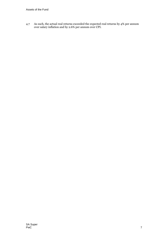4.7 As such, the actual real returns exceeded the expected real returns by 4% per annum over salary inflation and by 2.6% per annum over CPI.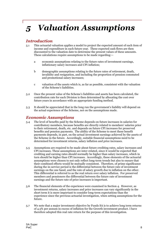# *5 Valuation Assumptions*

## *Introduction*

- 5.1 This actuarial valuation applies a model to project the expected amount of each item of income and expenditure in each future year. These expected cash flows are then discounted to the valuation date to determine the present values of these amounts. These calculations require assumptions to be made regarding:
	- a economic assumptions relating to the future rates of investment earnings, inflationary salary increases and CPI inflation;
	- b demographic assumptions relating to the future rates of retirement, death, invalidity and resignation, and including the proportion of pension commuted and promotional salary increases;
	- c valuation of the assets which is, as far as possible, consistent with the valuation of the Scheme's liabilities.
- 5.2 Once the present value of the Scheme's liabilities and assets has been calculated, the contribution rate for each Division is then determined by allocating the cost over future years in accordance with an appropriate funding method.
- 5.3 It should be appreciated that in the long run the government's liability will depend on the actual experience of the Scheme, not on the assumptions made.

### *Economic Assumptions*

- 5.4 The level of benefits paid by the Scheme depends on future increases in salaries for contributory members, because benefits are directly related to members' salaries prior to their retirement, death, etc. and depends on future CPI increases for preserved benefits and pension payments. The ability of the Scheme to meet these benefit payments depends, in part, on the actual investment earnings achieved by the assets of the Scheme in the future. Accordingly, suitable financial assumptions need to be determined for investment returns, salary inflation and price increases.
- 5.5 Assumptions are required to be made about future crediting rates, salary increases and CPI increases. These assumptions are inter-related, since it would be expected that crediting and earning rates should normally be higher than salary increases, which in turn should be higher than CPI increases. Accordingly, these elements of the actuarial assumptions were chosen to not only reflect long-term trends but also to ensure that their combined effects would be mutually consistent. Therefore, of prime significance during the in-service period is the differential between the future rate of investment earnings on the one hand, and the rate of salary growth due to inflation on the other. This differential is referred to as the real return over salary inflation. For preserved members and pensioners the differential between the future rate of investment earnings and the future rate of price increases is important.
- 5.6 The financial elements of the experience were examined in Section 4. However, as investment returns, salary increases and price increases can vary significantly in the short term it is more important to consider long-term expectations than the experience since the previous actuarial investigation, when setting assumptions for the future.
- 5.7 We note that a major investment objective by Funds SA is to achieve long term returns of 4.5% per annum in excess of inflation for the Growth investment product. I have therefore adopted this real rate return for the purpose of this investigation.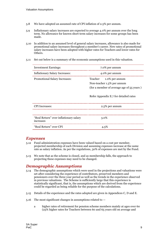- 5.8 We have adopted an assumed rate of CPI inflation of 2.5% per annum.
- 5.9 Inflationary salary increases are expected to average 4.0% per annum over the long term. No allowance for known short term salary increases for some groups has been made.
- 5.10 In addition to an assumed level of general salary increases, allowance is also made for promotional salary increases throughout a member's career. New rates of promotional salary increases have been adopted with higher rates for Teachers and lower rates for Others.
- 5.11 Set out below is a summary of the economic assumptions used in this valuation.

| <b>Investment Earnings:</b>                         | 7.0% per annum                                                                                                                             |
|-----------------------------------------------------|--------------------------------------------------------------------------------------------------------------------------------------------|
| <b>Inflationary Salary Increases:</b>               | 4.0% per annum                                                                                                                             |
| Promotional Salary Increases:                       | Teacher 1.0% per annum<br>Non-teacher 1.3% per annum<br>(for a member of average age of 55 years)<br>Refer Appendix E.7 for detailed rates |
| <b>CPI</b> Increases:                               | 2.5% per annum                                                                                                                             |
| "Real Return" over inflationary salary<br>increases | 3.0%                                                                                                                                       |
| "Real Return" over CPI                              |                                                                                                                                            |

### *Expenses*

- 5.12 Fund administration expenses have been valued based on a cost per member, projected membership of each Division and assuming expenses increase at the same rate as salary inflation. As per the regulations, 30% of expenses are met by the Fund.
- 5.13 We note that as the scheme is closed, and as membership falls, the approach to projecting these expenses may need to be changed.

### *Demographic Assumptions*

- 5.14 The demographic assumptions which were used in the projections and valuations were set after considering the experience of contributors, preserved members and pensioners over the three year period as well as the trends in the experience observed in previous valuations. The Scheme is sufficiently large that this experience is statistically significant, that is, the assumptions which are derived from the experience could be regarded as being reliable for the purpose of the calculations.
- 5.15 Details of the experience and the rates adopted are given in Appendices C, D and E.
- 5.16 The most significant changes in assumptions related to
	- a higher rates of retirement for pension scheme members mainly at ages over 60 (25% higher rates for Teachers between 60 and 65 years old on average and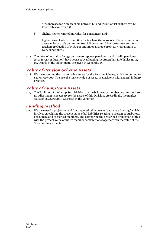30% increase for Non-teachers between 60 and 65 but offset slightly by 15% lower rates for over 65) ;

- b slightly higher rates of mortality for pensioners; and
- c higher rates of salary promotion for teachers (increase of 0.4% per annum on average, from 0.4% per annum to 0.8% per annum) but lower rates for nonteachers (reduction of 0.5% per annum on average, from 1.7% per annum to 1.2% per annum).
- 5.17 The rates of mortality for age pensioners, spouse pensioners and invalid pensioners (over 2 year in duration) have been set by adjusting the Australian Life Tables 2005- 07. Details of the adjustments are given in Appendix D.

### *Value of Pension Scheme Assets*

5.18 We have adopted the market value assets for the Pension Scheme, which amounted to \$1,304,017,000. The use of a market value of assets is consistent with general industry practice.

## *Value of Lump Sum Assets*

5.19 The liabilities of the Lump Sum Division are the balances of member accounts and so no adjustment is necessary for the assets of this Division. Accordingly, the market value of \$628,758,000 was used in the valuation.

## *Funding Method*

5.20 We have used a projection and funding method known as "aggregate funding" which involves calculating the present value of all liabilities relating to present contributors, pensioners and preserved members, and comparing the prescribed proportion of this with the present value of future member contributions together with the value of the Scheme's investments.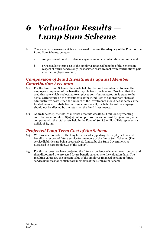# *6 Valuation Results — Lump Sum Scheme*

- 6.1 There are two measures which we have used to assess the adequacy of the Fund for the Lump Sum Scheme, being
	- a comparison of Fund investments against member contribution accounts; and
	- b projected long term cost of the employer financed benefits of the Scheme in respect of future service only (past service costs are met from contributions paid into the Employer Account).

## *Comparison of Fund Investments against Member Contribution Accounts*

- 6.2 For the Lump Sum Scheme, the assets held by the Fund are intended to meet the employee component of the benefits payable from the Scheme. Provided that the crediting rate which is allocated to employee contribution accounts is equal to the actual earning rate on the investments of the Fund (less the appropriate share of administrative costs), then the amount of the investments should be the same as the total of member contribution accounts. As a result, the liabilities of the employer should not be affected by the return on the Fund investments.
- 6.3 At 30 June 2013, the total of member accounts was \$634.3 million representing contribution accounts of \$599.4 million plus roll-in accounts of \$34.9 million, which compares with the total assets held in the Fund of \$628.8 million. This represents a deficit of \$5.5m.

## *Projected Long Term Cost of the Scheme*

- 6.4 We have also considered the long term cost of supporting the employer financed benefits in respect of future service for members of the Lump Sum Scheme. (Past service liabilities are being progressively funded by the State Government, as discussed in paragraph 3.2.1 of the Report).
- 6.5 For this purpose, we have projected the future experience of current contributors, and then discounted the projected future benefit payments to the valuation date. The resulting values are the present value of the employer financed portion of future service liabilities for contributory members of the Lump Sum Scheme.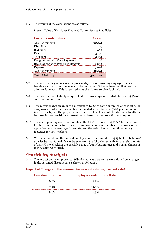6.6 The results of the calculations are as follows —

Present Value of Employer Financed Future Service Liabilities

| <b>Current Contributors</b>                 | \$'000  |
|---------------------------------------------|---------|
| <b>Age Retirements</b>                      | 307,141 |
| Disability                                  | 69      |
| Invalidity                                  | 486     |
| Deaths                                      | 3,196   |
| <b>Transfers</b>                            | 4,774   |
| <b>Resignations with Cash Payments</b>      | 96      |
| <b>Resignations with Preserved Benefits</b> | 2,202   |
| <b>Expenses</b>                             | 7,058   |
| <b>Age Retirements</b>                      | 307,141 |
| <b>Total Liability</b>                      | 325,022 |

- 6.7 The total liability represents the present day cost of providing employer financed benefits for the current members of the Lump Sum Scheme, based on their service after 30 June 2013. This is referred to as the "future service liability".
- 6.8 The future service liability is equivalent to future employer contributions of 14.5% of contributors' salaries.
- 6.9 This means that, if an amount equivalent to 14.5% of contributors' salaries is set aside as a provision which is notionally accumulated with interest at 7.0% per annum, or invested each year, the projected future service benefits would be able to be totally met by those future provisions or investments, based on the projection assumptions.
- 6.10 The corresponding contribution rate at the 2010 review was 14.75%. The main reasons for the decrease in the future service employer contribution rate are the lower rates of age retirement between age 60 and 65, and the reduction in promotional salary increases for non-teachers.
- 6.11 We recommend that the current employer contribution rate of 14.75% of contributors' salaries be maintained. As can be seen from the following sensitivity analysis, the rate of 14.75% is well within the possible range of contribution rates and a small change of 0.25% is not warranted.

### *Sensitivity Analysis*

6.12 The impact on the employer contribution rate as a percentage of salary from changes in the assumed discount rate is shown as follows:-.

### **Impact of Changes to the assumed investment return (discount rate)**

| Investment return | <b>Employer Contribution Rate</b> |
|-------------------|-----------------------------------|
| 6.ი%              | 15.2%                             |
| 7.0%              | 14.5%                             |
| 8 ሰ%              | 13.8%                             |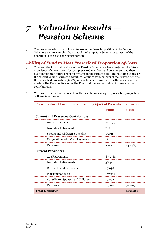# *7 Valuation Results — Pension Scheme*

7.1 The processes which are followed to assess the financial position of the Pension Scheme are more complex than that of the Lump Sum Scheme, as a result of the operation of the cost sharing proportion.

## *Ability of Fund to Meet Prescribed Proportion of Costs*

7.2 To assess the financial position of the Pension Scheme, we have projected the future experience of current contributors, preserved members and pensioners, and then discounted these future benefit payments to the current date. The resulting values are the present value of current and future liabilities for members of the Pension Scheme, the prescribed proportion (14.0%) of which must be compared with the value of the assets of the Pension division of the Fund and the present value of future member contributions.

|                                           | $\boldsymbol{3}^{\prime}$ 000              | $\degree$ 000 |
|-------------------------------------------|--------------------------------------------|---------------|
| <b>Current and Preserved Contributors</b> |                                            |               |
| <b>Age Retirements</b>                    | 221,639                                    |               |
| <b>Invalidity Retirements</b>             | 787                                        |               |
| Spouse and Children's Benefits            | 15,798                                     |               |
| <b>Resignations with Cash Payments</b>    | 18                                         |               |
| Expenses                                  | ,,,,,,,,,,,,,,,,,,,,,,,,,,,,,,,,,<br>2,147 | 240,389       |
| <b>Current Pensioners</b>                 |                                            |               |
| Age Retirements                           | 695,388                                    |               |
| <b>Invalidity Retirements</b>             | 38,440                                     |               |
| Retrenchment Pensioners                   | 67,638                                     |               |
| <b>Pensioner Spouses</b>                  | 167,955                                    |               |
| <b>Contributor Spouses and Children</b>   | 19,002                                     |               |
| <b>Expenses</b>                           | 10,190                                     | 998,613       |

7.3 We have set out below the results of the calculations using the prescribed proportion of these liabilities —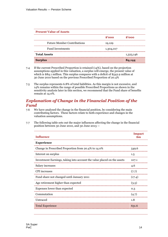| <b>Present Value of Assets</b>     |           |                       |
|------------------------------------|-----------|-----------------------|
|                                    | \$'000    | $\boldsymbol{3}$ '000 |
| <b>Future Member Contributions</b> | 19,129    |                       |
| <b>Fund Investments</b>            | 1,304,017 |                       |
| <b>Total Assets</b>                |           | 1,323,146             |
| <b>Surplus</b>                     |           |                       |

- 7.4 If the current Prescribed Proportion is retained (14%), based on the projection assumptions applied in this valuation, a surplus will emerge, the present value of which is \$84.1 million. This surplus compares with a deficit of \$542.9 million at 30 June 2010 based on the previous Prescribed Proportion of 20.4%
- 7.5 The surplus represents 6.8% of total liabilities. As this margin is not excessive, and 14% remains within the range of possible Prescribed Proportions as shown in the sensitivity analysis later in this section, we recommend that the Fund share of benefits remain at 14.0%.

## *Explanation of Change in the Financial Position of the Fund*

- 7.6 We have analysed the change in the financial position, by considering the main contributing factors. These factors relate to both experience and changes in the valuation assumptions.
- 7.7 The following table sets out the major influences affecting the change in the financial position between 30 June 2010, and 30 June 2013 —

| Influence                                                               | <b>Impact</b><br>\$m |
|-------------------------------------------------------------------------|----------------------|
| <b>Experience</b>                                                       |                      |
| Change in Prescribed Proportion from 20.4% to 14.0%                     | 549.6                |
| Interest on surplus                                                     | $1.5\,$              |
| Investment Earnings, taking into account the value placed on the assets | 107.1                |
| Salary increases                                                        | 4.6                  |
| <b>CPI</b> increases                                                    | (7.7)                |
| Fund share not changed until January 2011                               | (17.4)               |
| Age retirement higher than expected                                     | (3.5)                |
| Expenses lower than expected                                            | 0.3                  |
| Commutation                                                             | (4.7)                |
| Untraced                                                                | 1.8                  |
| <b>Total Experience</b>                                                 | 631.6                |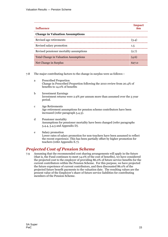| Influence                                    | <b>Impact</b> |
|----------------------------------------------|---------------|
| <b>Change in Valuation Assumptions</b>       |               |
| Revised age retirements                      | (3.4)         |
| Revised salary promotion                     | 1.5           |
| Revised pensioner mortality assumptions      | (2.7)         |
| <b>Total Change in Valuation Assumptions</b> | (4.6)         |
| Net Change in Surplus                        |               |

7.8 The major contributing factors to the change in surplus were as follows:–

- a Prescribed Proportion Change in Prescribed Proportion following the 2010 review from 20.4% of benefits to 14.0% of benefits
- b Investment Earnings Investment returns were 2.9% per annum more than assumed over the 3 year period.
- c Age Retirements Age retirement assumptions for pension scheme contributors have been increased (refer paragraph 5.4.3).
- d Pensioner mortality Assumptions for pensioner mortality have been changed (refer paragraphs 5.4.4, 5.4.5 and Appendix D).
- e Salary promotion Lower rates of salary promotion for non-teachers have been assumed to reflect the recent experience. This has been partially offset by higher promotion for teachers (refer Appendix E.7).

## *Projected Cost of Pension Scheme*

7.9 Assuming that the recommended cost sharing arrangements will apply in the future (that is, the Fund continues to meet 14.0% of the cost of benefits), we have considered the projected cost to the employer of providing 86.0% of future service benefits for the current contributors within the Pension Scheme. For this purpose, we have projected the future experience of current contributors, and then discounted 86.0% of the projected future benefit payments to the valuation date. The resulting values are the present value of the Employer's share of future service liabilities for contributing members of the Pension Scheme.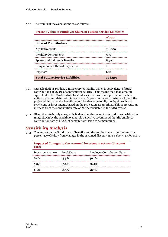7.10 The results of the calculations are as follows:–

| <b>Present Value of Employer Share of Future Service Liabilities</b> |           |  |  |  |
|----------------------------------------------------------------------|-----------|--|--|--|
|                                                                      | $\$$ '000 |  |  |  |
| <b>Current Contributors</b>                                          |           |  |  |  |
| Age Retirements                                                      | 118,850   |  |  |  |
| <b>Invalidity Retirements</b>                                        | 335       |  |  |  |
| Spouse and Children's Benefits                                       | 8.502     |  |  |  |
| <b>Resignations with Cash Payments</b>                               |           |  |  |  |
| <b>Expenses</b>                                                      | 622       |  |  |  |
| <b>Total Future Service Liabilities</b>                              | 128,310   |  |  |  |

- 7.11 Our calculations produce a future service liability which is equivalent to future contributions of 26.4% of contributors' salaries. This means that, if an amount equivalent to 26.4% of contributors' salaries is set aside as a provision which is notionally accumulated with interest at 7.0% per annum, or invested each year, the projected future service benefits would be able to be totally met by those future provisions or investments, based on the projection assumptions. This represents an increase from the contribution rate of 26.1% calculated in the 2010 review.
- 7.12 Given the rate is only marginally higher than the current rate, and is well within the range shown by the sensitivity analysis below, we recommend that the employer contribution rate of 26.0% of contributors' salaries be maintained.

## *Sensitivity Analysis*

7.13 The impact on the Fund share of benefits and the employer contribution rate as a percentage of salary from changes in the assumed discount rate is shown as follows:-.

| rate)             |                   | <b>Impact of Changes to the assumed investment return (discount)</b> |
|-------------------|-------------------|----------------------------------------------------------------------|
| Investment return | <b>Fund Share</b> | <b>Employer Contribution Rate</b>                                    |
| 6.0 <sup>%</sup>  | 13.5%             | 30.8%                                                                |
| 7.0%              | 15.0%             | 26.4%                                                                |
| 8.0%              | 16.5%             | 22.7%                                                                |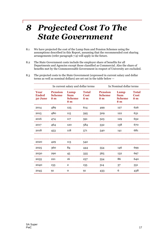## *8 Projected Cost To The State Government*

- 8.1 We have projected the cost of the Lump Sum and Pension Schemes using the assumptions described in this Report, assuming that the recommended cost sharing arrangements (refer paragraph 7.9) will apply in the future.
- 8.2 The State Government costs include the employer share of benefits for all Departments and Agencies except those classified as Commercial. Also the share of benefits met by the Commonwealth Government in respect of University are excluded.
- 8.3 The projected costs to the State Government (expressed in current salary and dollar terms as well as nominal dollars) are set out in the table below —

|                                         | In current salary and dollar terms                 |                                                      |                                       | In Nominal dollar terms                                |                                               |                                                |  |
|-----------------------------------------|----------------------------------------------------|------------------------------------------------------|---------------------------------------|--------------------------------------------------------|-----------------------------------------------|------------------------------------------------|--|
| <b>Year</b><br><b>Ended</b><br>30 June  | <b>Pension</b><br><b>Scheme</b><br>$\frac{1}{3}$ m | Lump<br><b>Sum</b><br><b>Scheme</b><br>$\frac{1}{2}$ | <b>Total</b><br><b>Cost</b><br>$\sin$ | <b>Pension</b><br><b>Scheme</b><br>$\boldsymbol{\$}$ m | Lump<br><b>Sum</b><br><b>Scheme</b><br>$\sin$ | <b>Total</b><br><b>Cost</b><br>$\frac{1}{2}$ m |  |
| 2014                                    | 489                                                | 125                                                  | 614                                   | 499                                                    | 127                                           | 626                                            |  |
| 2015<br>,,,,,,,,,,,,,,,,,,,,,           | 480                                                | 115                                                  | 595                                   | 509                                                    | 122                                           | 631                                            |  |
| 2016                                    | 474                                                | 117                                                  | 591                                   | 523                                                    | 129                                           | 652                                            |  |
| 2017                                    | 464                                                | 120                                                  | 584                                   | 532                                                    | 138                                           | 670                                            |  |
| 2018                                    | 453                                                | 118                                                  | 571                                   | 540                                                    | 141                                           | 681                                            |  |
|                                         |                                                    |                                                      |                                       |                                                        |                                               |                                                |  |
| 2020                                    | 429                                                | 113                                                  | 542                                   |                                                        |                                               |                                                |  |
| 2025                                    | 360                                                | 84                                                   |                                       | 554                                                    | 146                                           | 699                                            |  |
| 2030<br>,,,,,,,,,,,,,,,,,,,,,,,,,,,,,,, | 290                                                | 45                                                   | 335<br>                               | 565<br>                                                | 132                                           | 697                                            |  |
| 2035                                    | 221                                                | 16                                                   | 237                                   | 554                                                    | 86                                            | 640                                            |  |
| 2040                                    | 153                                                | $\mathbf{2}$                                         | 155                                   | 514                                                    | 37                                            | 551                                            |  |
| 2045                                    | -91                                                | 0                                                    | 91                                    | 433                                                    | 6                                             | 438                                            |  |

 $\mathsf{I}$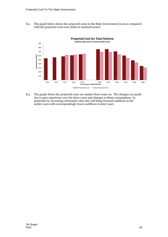8.4 The graph below shows the projected costs to the State Government in 2010 compared with the projected costs now (both in nominal terms).



8.5 The graph shows the projected costs are similar three years on. The changes are partly due to past experience over the three years and changes to future assumptions. In particular by increasing retirement rates this will being forward cashflows in the earlier years with correspondingly lower cashflows in later years.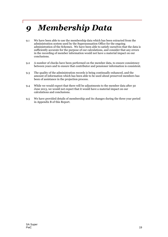# *9 Membership Data*

- 9.1 We have been able to use the membership data which has been extracted from the administration system used by the Superannuation Office for the ongoing administration of the Schemes. We have been able to satisfy ourselves that the data is sufficiently accurate for the purpose of our calculations, and consider that any errors in the recording of member information would not have a material impact on our conclusions.
- 9.2 A number of checks have been performed on the member data, to ensure consistency between years and to ensure that contributor and pensioner information is consistent.
- 9.3 The quality of the administration records is being continually enhanced, and the amount of information which has been able to be used about preserved members has been of assistance in the projection process.
- 9.4 While we would expect that there will be adjustments to the member data after 30 June 2013, we would not expect that it would have a material impact on our calculations and conclusions.
- 9.5 We have provided details of membership and its changes during the three year period in Appendix B of this Report.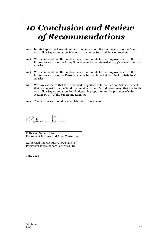# *10 Conclusion and Review of Recommendations*

- 10.1 In this Report, we have set out our comments about the funding status of the South Australian Superannuation Scheme, in the Lump Sum and Pension sections.
- 10.2 We recommend that the employer contribution rate for the employer share of the future service cost of the Lump Sum Scheme be maintained at 14.75% of contributors' salaries.
- 10.3 We recommend that the employer contribution rate for the employer share of the future service cost of the Pension Scheme be maintained at 26.0% of contributors' salaries.
- 10.4 We have estimated that the Prescribed Proportion of future Pension Scheme benefits that can be met from the Fund has remained at 14.0% and recommend that the South Australian Superannuation Board adopt this proportion for the purposes of subsection 43A(3) of the Superannuation Act.
- 10.5 The next review should be completed at 30 June 2016.

Cohenne Jane

Catherine Nance FIAA Retirement Incomes and Asset Consulting

Authorised Representative (#265248) of PricewaterhouseCoopers Securities Ltd

June 2014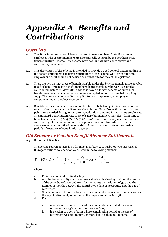## *Appendix A Benefits and Contributions*

### *Overview*

- A.1 The State Superannuation Scheme is closed to new members. State Government employees who are not members are automatically covered by the Southern State Superannuation Scheme. This scheme provides for both non-contributory and contributory members.
- A.2 This description of the Scheme is intended to provide a good general understanding of the benefit entitlements of active contributors to the Scheme who are in full-time employment but it should not be used as a substitute for the actual legislation.
- A.3 There are two distinct types of benefit payable under the Scheme namely those payable to old scheme or pension benefit members, being members who were accepted as contributors before 31 May 1986; and those payable to new scheme or lump sum benefit members, being members who were accepted as contributors before 4 May 1994. The new scheme benefits are split into two components, an employee component and an employer component.
- A.4 Benefits are based on contribution points. One contribution point is awarded for each month of contribution at the Standard Contribution Rate. Proportional contribution points are awarded for higher or lower contribution rates and for part-time employees. The Standard Contribution Rate is 6% of salary but members may elect, from time to time, to contribute at 3%, 4.5%, 6%, 7.5% or 9%. Contributors may also elect to cease contributing. The maximum number of points that count towards benefits is an average of one per month of membership. No contribution points accrue during periods of cessation of contribution payments.

## *Old Scheme or Pension Benefit Member Entitlements*

A.5 Retirement Benefits

The normal retirement age is 60 for most members. A contributor who has reached this age is entitled to a pension calculated in the following manner:

$$
P = FS \times A \times \frac{2}{3} \times \left(1 + \frac{X}{E}\right) + \frac{FS}{100} + FS \times \frac{7.4}{100} \times \frac{n}{420}
$$

where

- a FS is the contributor's final salary;
- b A is the lesser of unity and the numerical value obtained by dividing the number of the contributor's accrued contribution points by the larger of 360 and the number of months between the contributor's date of acceptance and the age of retirement;
- c X is the number of months by which the contributor's age at retirement exceeds the age of retirement, as defined in the Superannuation Act 1988;

d E is

- i in relation to a contributor whose contribution period at the age of retirement was 360 months or more — 600;
- ii in relation to a contributor whose contribution period at the age of retirement was 300 months or more but less than 360 months — 1200.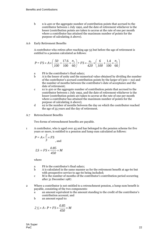- b n is 420 or the aggregate number of contribution points that accrued to the contributor between 1 July 1992, and the date of retirement whichever is the lesser (contribution points are taken to accrue at the rate of one per month where a contributor has attained the maximum number of points for the purpose of calculating A above).
- A.6 Early Retirement Benefits

A contributor who retires after reaching age 55 but before the age of retirement is entitled to a pension calculated as follows:

$$
P = FS \times A \times \left(\frac{50}{100} + \frac{17.6}{100} \times \frac{n_2}{60}\right) + FS \times \frac{n_1}{420} \times \left(\frac{6}{100} + \frac{1.4}{100} \times \frac{n_2}{60}\right)
$$

- a FS is the contributor's final salary;
- b A is the lesser of unity and the numerical value obtained by dividing the number of the contributor's accrued contribution points by the larger of  $(300 + n2)$  and the number of months between the contributor's date of acceptance and the date of retirement;
- c n1 is 420 or the aggregate number of contribution points that accrued to the contributor between 1 July 1992, and the date of retirement whichever is the lesser (contribution points are taken to accrue at the rate of one per month where a contributor has attained the maximum number of points for the purpose of calculating A above);
- d n2 is the number of months between the day on which the contributor reached the age of 55 years and the day of retirement.
- A.7 Retrenchment Benefits

Two forms of retrenchment benefits are payable.

1 A contributor, who is aged over 45 and has belonged to the pension scheme for five years or more, is entitled to a pension and lump sum calculated as follows:

$$
P = A \times \frac{2}{3} \times FS
$$
, and

$$
LS = FS \times \frac{0.85}{450} \times M
$$

where

- a FS is the contributor's final salary;
- b A is calculated in the same manner as for the retirement benefit at age 60 but with prospective service to age 60 being included;
- c M is the number of months of the contributor's contribution period occurring after 31 December 1987.
- 2 Where a contributor is not entitled to a retrenchment pension, a lump sum benefit is payable, consisting of the two components:
	- a an amount equivalent to the amount standing to the credit of the contributor's contribution account; and
	- b an amount equal to:

$$
2\frac{1}{3} \times A - P + FS \times \frac{0.85}{450} \times M
$$

SA Super PwC 22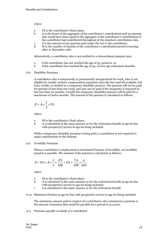where

- a FS is the contributor's final salary;
- b A is the lesser of the aggregate of the contributor's contributions and an amount that would have been equal to the aggregate of the contributor's contributions if the contributor had contributed throughout at the standard contribution rate;
- c P is the amount of any pension paid under the Act to the contributor;
- d M is the number of months of the contributor's contribution period occurring after 31 December 1987.

Alternatively, a contributor who is not entitled to a retrenchment pension may:

- a if the contributor has not reached the age of 55, preserve ,or
- b if the contributor has reached the age of 55, receive age retirement benefits.

### A.8 Disability Pensions

A contributor who is temporarily or permanently incapacitated for work, who is not eligible for weekly workers compensation payments and who has used all available sick leave credits, is entitled to a temporary disability pension. The pension will not be paid for periods of less than one week, and may not be paid if the incapacity is expected to last less than six months. Usually the temporary disability pension will be paid for a maximum of twelve months. The amount of the pension is calculated as follows:

$$
P = A \times \frac{2}{3} \times FS
$$

where

- a FS is the contributor's final salary;
- b A is calculated in the same manner as for the retirement benefit at age 60 but with prospective service to age 60 being included.

While a temporary disability pension is being paid, a contributor is not required to make contributions to the Scheme.

A.9 Invalidity Pensions

When a contributor's employment is terminated because of invalidity, an invalidity pension is payable. The amount of the pension is calculated as follows:

$$
P = FS \times A \times \frac{2}{3} + \frac{FS}{100} + FS \times \frac{7.4}{100} \times \frac{n}{420}
$$

where

- a FS is the contributor's final salary;
- b A is calculated in the same manner as for the retirement benefit at age 60 but with prospective service to age 60 being included;
- c n is calculated in the same manner as for the retirement benefit
- A.10 Minimum Pension at age 60 but with prospective service to age 60 being included

The minimum amount paid in respect of a contributor who commences a pension is the amount of pension that would be payable for a period of 4.5 years.

A.11 Pensions payable on death of a contributor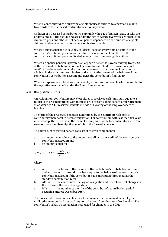When a contributor dies a surviving eligible spouse is entitled to a pension equal to two-thirds of the deceased contributor's notional pension.

Children of a deceased contributor who are under the age of sixteen years, or who are undertaking full-time study and are under the age of twenty five years, are eligible for children's pensions. The rate of pension paid is dependent on the number of eligible children and on whether a spouse pension is also payable.

Where a spouse pension is payable, childrens' pensions vary from one ninth of the contributor's notional pension for one child to a maximum of one third of the contributor's notional pension divided among three or more eligible children.

Where no spouse pension is payable, an orphan's benefit is payable varying from 45% of the deceased contributor's notional pension for one child to a maximum equal to 100% of the deceased contributor's notional pension divided among four or more eligible children. A lump sum is also paid equal to the greater of the balance of the contributor's contribution account and twice the contributor's final salary.

Where no spouse or child pension is payable, a lump sum is payable which is similar to the age retirement benefit under the Lump Sum scheme.

#### A.12 Resignation Benefits

On resignation, contributors may elect either to receive a cash lump sum equal to a return of their contributions with interest, or to preserve their benefit until retirement at or after age 55. Preserved benefits include full vesting of the employer share of benefits.

The form of the preserved benefit is determined by the contributor's length of contributory membership before resignation. For contributors with less than ten years membership, the benefit is in the form of a lump sum, while for contributors with ten years or more membership, the benefit is in the form of a pension.

The lump sum preserved benefit consists of the two components:

- a an amount equivalent to the amount standing to the credit of the contributor's contribution account; and
- b an amount equal to:

$$
2\frac{1}{3} \times A + AFS \times \frac{0.85}{450} \times M
$$

where

- a A is the lesser of the balance of the contributor's contribution account and an amount that would have been equal to the balance of the contributor's contribution account if the contributor had contributed throughout at the standard contribution rate;
- b AFS is the contributor's salary on resignation adjusted to reflect changes in the CPI since the date of resignation;
- c M is the number of months of the contributor's contribution period occurring after 31 December 1987.

The preserved pension is calculated as if the member had remained in employment until retirement but had not paid any contributions from the date of resignation. The contributor's salary on resignation is adjusted for changes in the CPI.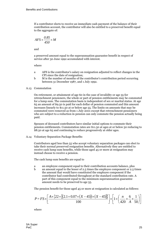If a contributor elects to receive an immediate cash payment of the balance of their contribution account, the contributor will also be entitled to a preserved benefit equal to the aggregate of:

$$
AFS \times \frac{0.85}{450} \times M
$$

and

a preserved amount equal to the superannuation guarantee benefit in respect of service after 30 June 1992 accumulated with interest.

where

- a AFS is the contributor's salary on resignation adjusted to reflect changes in the CPI since the date of resignation;
- b M is the number of months of the contributor's contribution period occurring between 31 December 1987, and 1 July 1992.

### A.13 Commutation

On retirement, or attainment of age 60 in the case of invalidity or age 55 for retrenchment pensioners, the whole or part of pension entitlements may be commuted for a lump sum. The commutation basis is independent of sex or marital status. At age 65 an amount of \$9.50 is paid for each dollar of pension commuted and this amount increases linearly to \$11.50 at or below age 55. The limits on amounts that may be commuted were removed as from 1 July 2001 except that retrenchment pensioners who are subject to a reduction in pension can only commute the pension actually being paid.

Spouses of deceased contributors have similar initial options to commute their pension entitlements. Commutation rates are \$11.50 at ages at or below 50 reducing to \$8.50 at age 65 and continuing to reduce progressively at older ages.

A.14 Voluntary Separation Package Benefits

Contributors aged less than 55 who accept voluntary separation packages can elect to take their normal preserved resignation benefits. Alternatively they are entitled to receive cash lump sum benefits, while those aged 45 or more at resignation may instead choose to receive a pension.

The cash lump sum benefits are equal to

- a an employee component equal to their contribution accounts balance, plus
- b an amount equal to the lesser of 2.5 times the employee component or 2.5 times the amount that would have constituted the employee component if the contributor had contributed throughout at the standard contribution rate. A part of this component equal to the minimum superannuation guarantee amount needs to be preserved to age 55.

The pension benefit for those aged 45 or more at resignation is calculated as follows:

$$
P = FS \times \left[ \frac{A \times \{22 + [(2.1 + 0.07 \times (X - 45))] \times (X - 45)]\}}{100} \right] \times \left[ 1 + \left( \frac{n}{420} \times \frac{6}{A} \times \frac{1}{50} \right) \right]
$$

where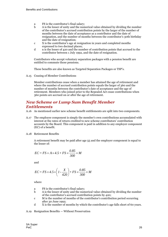- a FS is the contributor's final salary;
- b A is the lesser of unity and the numerical value obtained by dividing the number of the contributor's accrued contribution points by the larger of the number of months between the date of acceptance as a contributor and the date of resignation, and the number of months between the contributor's 30th birthday and the date of resignation;
- c X is the contributor's age at resignation in years and completed months expressed to two decimal places;
- d n is the lesser of 420 and the number of contribution points that accrued to the contributor between 1 July 1992, and the date of resignation.

Contributors who accept voluntary separation packages with a pension benefit are entitled to commute those pensions.

These benefits are also known as Targeted Separation Packages or TSP's.

A.15 Ceasing of Member Contributions

Member contributions cease when a member has attained the age of retirement and where the number of accrued contribution points equals the larger of 360 and the number of months between the contributor's date of acceptance and the age of retirement. Members who joined prior to the Repealed Act cease contributions when 360 points are accrued on or after the age of retirement.

## *New Scheme or Lump Sum Benefit Member Entitlements*

- A.16 As mentioned earlier new scheme benefit entitlements are split into two components.
- A.17 The employee component is simply the member's own contributions accumulated with interest at the rates of return credited to new scheme contributors' contribution accounts by the Board. This component is paid in addition to any employer component (EC) of a benefit.
- A.18 Retirement Benefits

A retirement benefit may be paid after age 55 and the employer component is equal to the lesser of:

$$
EC = FS \times A \times 4.5 + FS \times \frac{0.85}{300} \times M
$$

and

$$
EC = FS \times 4.5 \times \left(1 - \frac{X}{420}\right) + FS \times \frac{0.85}{300} \times M
$$

where

- a FS is the contributor's final salary;
- b A is the lesser of unity and the numerical value obtained by dividing the number of the contributor's accrued contribution points by 420;
- c M is the number of months of the contributor's contribution period occurring after 30 June 1992;
- d X is the number of months by which the contributor's age falls short of 60 years.

#### A.19 Resignation Benefits — Without Preservation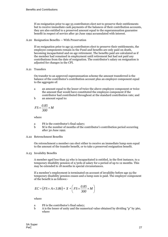If on resignation prior to age 55 contributors elect not to preserve their entitlements but to receive immediate cash payments of the balances of their contribution accounts, they are also entitled to a preserved amount equal to the superannuation guarantee benefit in respect of service after 30 June 1992 accumulated with interest.

A.20 Resignation Benefits — With Preservation

If on resignation prior to age 55 contributors elect to preserve their entitlements, the employee components remain in the Fund and benefits are only paid on death, becoming incapacitated and on age retirement. The benefits paid are calculated as if the member had remained in employment until retirement but had not paid any contributions from the date of resignation. The contributor's salary on resignation is adjusted for changes in the CPI.

#### A.21 Transfers

On transfer to an approved superannuation scheme the amount transferred is the balance of the contributor's contribution account plus an employer component equal to the aggregate of:

- a an amount equal to the lesser of twice the above employee component or twice the amount that would have constituted the employee component if the contributor had contributed throughout at the standard contribution rate; and
- b an amount equal to:

$$
FS \times \frac{0.85}{300} \times M
$$

where

- a FS is the contributor's final salary;
- b M is the number of months of the contributor's contribution period occurring after 30 June 1992.
- A.22 Retrenchment Benefits

On retrenchment a member can elect either to receive an immediate lump sum equal to the amount of the transfer benefit, or to take a preserved resignation benefit.

A.23 Invalidity Benefits

A member aged less than 55 who is incapacitated is entitled, in the first instance, to a temporary disability pension of 2/3rds of salary for a period of up to 12 months. This may be extended to 18 months in special circumstances.

If a member's employment is terminated on account of invalidity before age 55 the temporary disability pension ceases and a lump sum is paid. The employer component of the benefit is as follows:-

$$
EC = (FS \times A \times 3.86) + X + \left( FS \times \frac{0.85}{300} \times M \right)
$$

where

- a FS is the contributor's final salary;
- b A is the lesser of unity and the numerical value obtained by dividing "p" by 360, where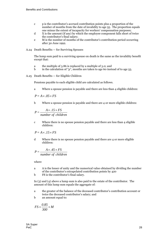- c p is the contributor's accrued contribution points plus a proportion of the number of months from the date of invalidity to age 55. The proportion equals one minus the extent of incapacity for workers' compensation purposes;
- d X is the amount (if any) by which the employee component falls short of twice the contributor's final salary;
- e M is the number of months of the contributor's contribution period occurring after 30 June 1992.
- A.24 Death Benefits for Surviving Spouses

The lump sum paid to a surviving spouse on death is the same as the invalidity benefit except that:

- a the multiple of 3.86 is replaced by a multiple of 3.0; and
- b in the calculation of "p", months are taken to age 60 instead of to age 55.

A.25 Death Benefits — for Eligible Children

Pensions payable to each eligible child are calculated as follows.

a Where a spouse pension is payable and there are less than 4 eligible children:

 $P = A \times .05 \times FS$ 

b Where a spouse pension is payable and there are 4 or more eligible children:

*number* of *children*  $P = \frac{A \times .15 \times FS}{I}$ 

c Where there is no spouse pension payable and there are less than 4 eligible children:

$$
P = A \times .15 \times FS
$$

d Where there is no spouse pension payable and there are 4 or more eligible children:

$$
P = \frac{A \times .45 \times FS}{number\ of\ children}
$$

where

- a A is the lesser of unity and the numerical value obtained by dividing the number of the contributor's extrapolated contribution points by 420
- b FS is the contributor's final salary.

In (3) and (4) above a lump sum is also paid to the estate of the contributor. The amount of this lump sum equals the aggregate of:

- a the greater of the balance of the deceased contributor's contribution account or twice the deceased contributor's salary; and
- b an amount equal to:

$$
FS \times \frac{0.85}{300} \times M
$$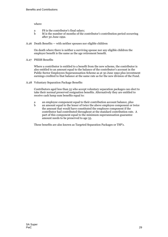where

- a FS is the contributor's final salary;
- b M is the number of months of the contributor's contribution period occurring after 30 June 1992.
- A.26 Death Benefits with neither spouses nor eligible children

On death where there is neither a surviving spouse nor any eligible children the employer benefit is the same as the age retirement benefit.

A.27 PSESS Benefits

Where a contributor is entitled to a benefit from the new scheme, the contributor is also entitled to an amount equal to the balance of the contributor's account in the Public Sector Employees Superannuation Scheme as at 30 June 1992 plus investment earnings credited to that balance at the same rate as for the new division of the Fund.

A.28 Voluntary Separation Package Benefits

Contributors aged less than 55 who accept voluntary separation packages can elect to take their normal preserved resignation benefits. Alternatively they are entitled to receive cash lump sum benefits equal to:

- a an employee component equal to their contribution account balance, plus
- b an amount equal to the lesser of twice the above employee component or twice the amount that would have constituted the employee component if the contributor had contributed throughout at the standard contribution rate. A part of this component equal to the minimum superannuation guarantee amount needs to be preserved to age 55.

These benefits are also known as Targeted Separation Packages or TSP's.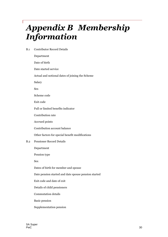# *Appendix B Membership Information*

B.1 Contributor Record Details

Department Date of birth Date started service Actual and notional dates of joining the Scheme Salary Sex Scheme code Exit code Full or limited benefits indicator Contribution rate Accrued points Contribution account balance Other factors for special benefit modifications B.2 Pensioner Record Details Department Pension type Sex Dates of birth for member and spouse Date pension started and date spouse pension started Exit code and date of exit Details of child pensioners

Commutation details

Basic pension

Supplementation pension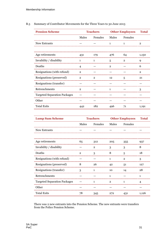B.3 Summary of Contributor Movements for the Three Years to 30 June 2013

| <b>Pension Scheme</b>               |              | <b>Teachers</b>             |     | <b>Other Employees</b> Total |       |
|-------------------------------------|--------------|-----------------------------|-----|------------------------------|-------|
|                                     |              | Males Females Males Females |     |                              |       |
| <b>New Entrants</b>                 |              |                             |     |                              | 2     |
| Age retirements                     | 431          | 179                         | 476 | 64                           | 1,150 |
| Invalidity / disability             | 1            |                             | 5   |                              |       |
| Deaths                              |              |                             |     |                              |       |
| Resignations (with refund)          | $\mathbf{2}$ |                             |     |                              | 2     |
| Resignations (preserved)            | $\mathbf{2}$ | 2                           | 12  | 5                            | 21    |
| Resignations (transfer)             |              |                             |     |                              |       |
| Retrenchments                       | $\mathbf{2}$ |                             |     |                              |       |
| <b>Targeted Separation Packages</b> |              |                             |     |                              |       |
| Other                               |              |                             |     |                              |       |
| <b>Total Exits</b>                  |              | 182                         |     | 71                           | 1,191 |

| <b>Lump Sum Scheme</b>              |              | <b>Teachers</b>             |         | <b>Other Employees</b> Total |       |
|-------------------------------------|--------------|-----------------------------|---------|------------------------------|-------|
|                                     |              | Males Females Males Females |         |                              |       |
| New Entrants                        |              |                             |         |                              |       |
| Age retirements                     | 65           | 312                         | 205 355 |                              | 937   |
| Invalidity / disability             |              |                             | 3       |                              | 8     |
| Deaths                              | $\mathbf{2}$ | 3                           | 8       | 5                            | 18    |
| Resignations (with refund)          |              |                             |         | $\mathbf{2}$                 | 3     |
| <br>Resignations (preserved)        | 8            | 26                          | 42      | 51                           | 127   |
| Resignations (transfer)             | 3            | 1                           | 10      | 14                           | 28    |
| Retrenchments                       |              |                             |         |                              |       |
| <b>Targeted Separation Packages</b> |              |                             |         |                              |       |
| Other                               |              |                             |         |                              |       |
| <b>Total Exits</b>                  | 78           | 345                         | 272     | 431                          | 1,126 |

There was 2 new entrants into the Pension Scheme. The new entrants were transfers from the Police Pension Scheme.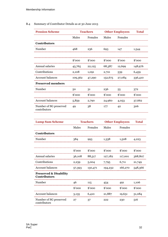### B.4 Summary of Contributor Details as at 30 June 2013

| <b>Pension Scheme</b>                                   |           | <b>Teachers</b> |           | <b>Other Employees</b><br><b>Total</b>                  |         |  |
|---------------------------------------------------------|-----------|-----------------|-----------|---------------------------------------------------------|---------|--|
|                                                         | Males     | Females         |           | Males Females                                           |         |  |
| Contributors                                            |           |                 |           |                                                         |         |  |
| Number                                                  | 468       | -236            | 693       | 147                                                     | 1,544   |  |
|                                                         |           |                 |           |                                                         |         |  |
|                                                         |           |                 |           | $\degree$ 000 $\degree$ 000 $\degree$ 000 $\degree$ 000 | \$'000  |  |
| Annual salaries                                         |           |                 |           | 45,765 22,125 68,387 12,699                             | 148.976 |  |
| Contributions<br>,,,,,,,,,,,,,,,,,,,,,,,,,,,,,,,,,,,,,, | 2,108<br> | 1,091           | 2,721 539 |                                                         | 6,459   |  |
| Account balances                                        |           |                 |           | 109,362 47,290 152,675 27,084 336,410                   |         |  |
| <b>Preserved members</b>                                |           |                 |           |                                                         |         |  |
| Number                                                  | 50        | 31              | 236       | -55                                                     | 372     |  |
|                                                         | \$'000    | \$'000          | \$'000    | \$'000                                                  | \$'000  |  |
| Account balances                                        | 5,859     | 2,790           | 24,960    | 4,053                                                   | 37,662  |  |
| Number of SG preserved<br>contributors                  | 49        | 38              | 177       | 42                                                      | 306     |  |

| <b>Lump Sum Scheme</b>                                   |             | <b>Teachers</b> |                                        | <b>Other Employees</b> Total |         |  |
|----------------------------------------------------------|-------------|-----------------|----------------------------------------|------------------------------|---------|--|
|                                                          | Males       | Females         | Males                                  | Females                      |         |  |
| <b>Contributors</b>                                      |             |                 |                                        |                              |         |  |
| Number                                                   | 384         | 993             | 1,338                                  | 1,508                        | 4.223   |  |
|                                                          |             |                 |                                        |                              |         |  |
|                                                          | \$'000      | \$'000          | \$'000                                 | \$'000                       | \$'000  |  |
| Annual salaries                                          |             |                 | 36,108 88,517 127,182 117,001          |                              | 368.807 |  |
| Contributions                                            | 2,239 5,004 |                 | 7,795 6,711 21,749                     |                              |         |  |
| Account balances                                         |             |                 | 57,393 130,471 194,232 166,270 548,366 |                              |         |  |
| <b>Preserved &amp; Disability</b><br><b>Contributors</b> |             |                 |                                        |                              |         |  |
| Number                                                   | 46          | 115             | 454                                    | 491                          | 1.106   |  |
|                                                          | \$'000      | \$'000          | \$'000                                 | \$'000                       | \$'000  |  |
| Account balances                                         | 3,135       | 6,410           | 21,887                                 | 19,651                       | 51,084  |  |
| Number of SG preserved<br>contributors                   | 27          | 37              | 222                                    | 230                          | 516     |  |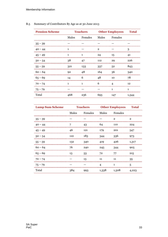| <b>Pension Scheme</b> | <b>Teachers</b> |         |       | <b>Other Employees</b> Total |         |  |
|-----------------------|-----------------|---------|-------|------------------------------|---------|--|
|                       | Males           | Females | Males | Females                      |         |  |
| $35 - 39$             |                 |         |       |                              |         |  |
| $40 - 44$             |                 |         | 2     |                              | 3       |  |
| $45 - 49$             | $\mathbf{1}$    | 1       | 24    | 15                           | 41      |  |
| $50 - 54$             | 38              | 47      | 112   | 29                           | 226     |  |
| $55 - 59$             | 321             | 133     | 337   | .52                          | 843<br> |  |
| $60 - 64$             | Q <sub>2</sub>  | 48      | 164   | 36                           | 340     |  |
| $65 - 69$             | 14              | 6       |       | 10                           | 78      |  |
| $70 - 74$<br>         |                 |         | რ     |                              | 12      |  |
| $75 - 79$             |                 |         |       |                              |         |  |
| Total                 | 468             | 236     |       |                              |         |  |

### B.5 Summary of Contributors By Age as at 30 June 2013

| <b>Lump Sum Scheme</b> | <b>Teachers</b> |                       |       | <b>Other Employees</b> Total |       |  |
|------------------------|-----------------|-----------------------|-------|------------------------------|-------|--|
|                        | Males           | Females Males Females |       |                              |       |  |
| $35 - 39$              |                 |                       |       | $\mathbf{2}$                 | 2     |  |
| $40 - 44$              |                 | 43                    | 64    | 110                          | 224   |  |
| $45 - 49$              | 46              | 121                   | 179   | 201                          | 547   |  |
| $50 - 54$              | 11 <sub>0</sub> | 183                   |       | 336                          | 973   |  |
| $55 - 59$              | 132             | 340                   | 419   | 426                          | 1,317 |  |
| $60 - 64$              | 76              | 240                   | 245   | 344                          | 905   |  |
| $65 - 69$              | 13              | 53                    | 72    | 77                           | 215   |  |
| $70 - 74$              |                 | 13                    | 11    | 11                           | 35    |  |
| $75 - 79$              |                 |                       |       | 1                            | 5     |  |
| Total                  | 384             | 993                   | 1,338 | 1,508                        | 4,223 |  |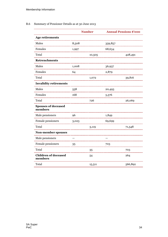### B.6 Summary of Pensioner Details as at 30 June 2013

|                                        | <b>Number</b> |        | <b>Annual Pensions \$'000</b> |         |
|----------------------------------------|---------------|--------|-------------------------------|---------|
| <b>Age retirements</b>                 |               |        |                               |         |
| Males                                  | 8,508         |        | 359,857                       |         |
| Females                                | 1,997         |        | 68,634                        |         |
| Total<br>.                             |               | 10,505 |                               | 428,491 |
| <b>Retrenchments</b>                   |               |        |                               |         |
| Males                                  | 1,008         |        | 36,937                        |         |
| Females                                | 64            |        | 2,879                         |         |
| Total                                  |               | 1,072  |                               | 39,816  |
| <b>Invalidity retirements</b>          |               |        |                               |         |
| Males                                  | 558           |        | 20,493                        |         |
| Females                                | 168           |        | 5,576                         |         |
| Total                                  |               | 726    |                               | 26,069  |
| <b>Spouses of deceased</b><br>members  |               |        |                               |         |
| Male pensioners                        | 96            |        | 1,849                         |         |
| Female pensioners<br>                  | 3,023         |        | 69,699                        |         |
| Total                                  |               | 3,119  |                               | 71,548  |
| <b>Non-member spouses</b>              |               |        |                               |         |
| Male pensioners                        |               |        |                               |         |
| Female pensioners                      | 35            |        | 703                           |         |
| Total                                  |               | 35     |                               | 703     |
| <b>Children of deceased</b><br>members |               | 54     |                               | 264     |
| Total                                  |               | 15,511 |                               | 566,892 |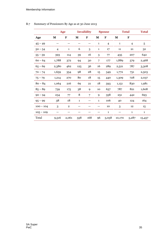|             | Age            |                |              | <b>Invalidity</b> |              | <b>Spouse</b>            |        | <b>Total</b> | <b>Total</b> |
|-------------|----------------|----------------|--------------|-------------------|--------------|--------------------------|--------|--------------|--------------|
| Age         | M              | F              | M            | F                 | M            | $\mathbf F$              | M      | F            |              |
| $45 - 49$   |                |                |              |                   | 1            | $\overline{\mathcal{A}}$ | 1      | 4            | 5            |
| $50 - 54$   | $\overline{4}$ | $\mathbf{1}$   | 6            | 3                 | $\mathbf{1}$ | 17                       | 11     | 21           | 32           |
| $55 - 59$   | 393            | 114            | 39           | 16                | 3            | 77                       | 435    | 207          | 642          |
| $60 - 64$   | 1,788          | 372            | 94           | 30                | 7            | 177                      | 1,889  | 579          | 2,468        |
| $65 - 69$   | 2,380          | 462            | 125          | 36                | 16           | 289                      | 2,521  | 787          | 3,308        |
| $70 - 74$   | 1,659          | 354            | 98           | 28                | 15           | 349                      | 1,772  | 731          | 2,503        |
| $75 - 79$   | 1,214          | 270            | 80           | 18                | 15           | 440                      | 1,309  | 728          | 2,037        |
| $80 - 84$   | 1,064          | 216            | 69           | 21                | 18           | 593                      | 1,151  | 830          | 1,981        |
| $85 - 89$   | 739            | 175            | 38           | 9                 | 10           | 637                      | 787    | 821          | 1,608        |
| $90 - 94$   | 234            | 77             | 8            | 7                 | $\mathbf Q$  | 358                      | 251    | 442          | 693          |
| $95 - 99$   | 38             | 18             | $\mathbf{1}$ |                   | 1            | 106                      | 40     | 124          | 164          |
| $100 - 104$ | 3              | $\overline{2}$ |              |                   |              | 10                       | 3      | 12           | 15           |
| $105 - 109$ |                |                |              |                   |              | $\mathbf{1}$             |        | 1            | 1            |
| Total       | 9,516          | 2.061          | 558          | 168               | 96           | 3,058                    | 10,170 | 5.287        | 15,457       |

### B.7 Summary of Pensioners By Age as at 30 June 2013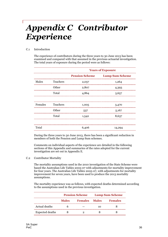# *Appendix C Contributor Experience*

### C.1 Introduction

The experience of contributors during the three years to 30 June 2013 has been examined and compared with that assumed in the previous actuarial investigation. The total years of exposure during the period were as follows:

|       |                  | <b>Years of Exposure</b> |                        |  |  |  |  |
|-------|------------------|--------------------------|------------------------|--|--|--|--|
|       |                  | <b>Pension Scheme</b>    | <b>Lump Sum Scheme</b> |  |  |  |  |
| Males | <b>Teachers</b>  | 2,057                    | 1,264                  |  |  |  |  |
|       | Other            | 2,807                    | 4,393                  |  |  |  |  |
|       | Total            | 4,864                    | 5,657                  |  |  |  |  |
|       |                  |                          |                        |  |  |  |  |
|       | Females Teachers | 1,005                    | 3,470                  |  |  |  |  |
|       | Other            | 537                      | 5,167                  |  |  |  |  |
|       | Total            | 1,542                    | 8,637                  |  |  |  |  |
|       |                  |                          |                        |  |  |  |  |
| Total |                  | 6,406                    | 14,294                 |  |  |  |  |

During the three years to 30 June 2013, there has been a significant reduction in members of both the Pension and Lump Sum schemes.

Comments on individual aspects of the experience are detailed in the following sections of this Appendix and summaries of the rates adopted for the current investigation are set out in Appendix E.

#### C.2 Contributor Mortality

The mortality assumptions used in the 2010 investigation of the State Scheme were based the Australian Life Tables 2005-07 with adjustments for mortality improvement for four years. The Australian Life Tables 2005-07, with adjustments for mortality improvement for seven years, have been used to produce the 2013 mortality assumptions.

The mortality experience was as follows, with expected deaths determined according to the assumptions used in the previous investigation.

|                        | <b>Pension Scheme</b> |                      | <b>Lump Sum Scheme</b> |                |
|------------------------|-----------------------|----------------------|------------------------|----------------|
|                        | <b>Males</b>          | <b>Females</b> Males |                        | <b>Females</b> |
| Actual deaths          |                       |                      |                        |                |
| <b>Expected deaths</b> |                       |                      |                        |                |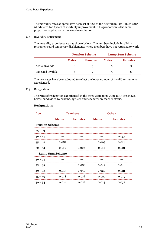The mortality rates adopted have been set at 32% of the Australian Life Tables 2005– 07 adjusted for 7 years of mortality improvement. This proportion is the same proportion applied as in the 2010 investigation.

### C.3 Invalidity Retirement

The invalidity experience was as shown below. The numbers include invalidity retirements and temporary disablements where members have not returned to work.

|                          |              | <b>Pension Scheme</b> |              | <b>Lump Sum Scheme</b> |  |
|--------------------------|--------------|-----------------------|--------------|------------------------|--|
|                          | <b>Males</b> | <b>Females</b>        | <b>Males</b> | <b>Females</b>         |  |
| Actual invalids          |              |                       |              |                        |  |
| <b>Expected</b> invalids |              |                       |              |                        |  |

The new rates have been adopted to reflect the lower number of invalid retirements experienced.

#### C.4 Resignation

The rates of resignation experienced in the three years to 30 June 2013 are shown below, subdivided by scheme, age, sex and teacher/non-teacher status.

| Age                   |                        | <b>Teachers</b> |              | <b>Other</b>   |
|-----------------------|------------------------|-----------------|--------------|----------------|
|                       | <b>Males</b>           | <b>Females</b>  | <b>Males</b> | <b>Females</b> |
| <b>Pension Scheme</b> |                        |                 |              |                |
| $35 - 39$             |                        |                 |              |                |
| $40 - 44$             |                        |                 |              | 0.055          |
| $45 - 49$             | 0.082                  |                 | 0.009        | 0.024          |
| $50 - 54$             | 0.010                  | 0.008           | 0.019        | 0.021          |
|                       | <b>Lump Sum Scheme</b> |                 |              |                |
| $30 - 34$             |                        |                 |              |                |
| $35 - 39$             |                        | 0.084           | 0.049        | 0.048          |
| $40 - 44$             | 0.017                  | 0.030           | 0.020        | 0.021          |
| $45 - 49$             | 0.018                  | 0.016           | 0.027        | 0.019          |
| $50 - 54$             | 0.018                  | 0.018           | 0.023        | 0.032          |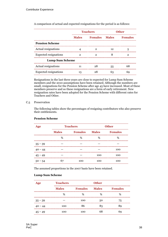|                              |              | <b>Teachers</b>              |    | <b>Other</b>   |
|------------------------------|--------------|------------------------------|----|----------------|
|                              | <b>Males</b> | <b>Example Females</b> Males |    | <b>Females</b> |
| <b>Pension Scheme</b>        |              |                              |    |                |
| Actual resignations          |              | 2                            | 12 | 5              |
| <b>Expected resignations</b> |              | 2                            |    |                |
| <b>Lump Sum Scheme</b>       |              |                              |    |                |
| Actual resignations          |              |                              | 55 |                |
| <b>Expected resignations</b> |              |                              |    |                |

A comparison of actual and expected resignations for the period is as follows:

Resignations in the last three years are close to expected for Lump Sum Scheme members and the 2010 assumptions have been retained. Although the numbers are small, resignations for the Pension Scheme after age 45 have increased. Most of these members preserve and so these resignations are a form of early retirement. New resignation rates have been adopted for the Pension Scheme with different rates for Teachers and Other.

#### C.5 Preservation

The following tables show the percentages of resigning contributors who also preserve their entitlements.

| Age       | <b>Teachers</b>                |     |              | <b>Other</b>   |
|-----------|--------------------------------|-----|--------------|----------------|
|           | <b>Males</b><br><b>Females</b> |     | <b>Males</b> | <b>Females</b> |
|           | %                              | %   | %            | %              |
| $35 - 39$ |                                |     |              |                |
| $40 - 44$ |                                |     |              | 100            |
| $45 - 49$ |                                |     | 100          | 100            |
| $50 - 54$ | 67                             | 100 | 100          | 100            |

### **Pension Scheme**

The assumed proportions in the 2007 basis have been retained.

#### **Lump Sum Scheme**

| Age       | <b>Teachers</b>                                  |                | <b>Other</b> |                |  |  |
|-----------|--------------------------------------------------|----------------|--------------|----------------|--|--|
|           | ,,,,,,,,,,,,,,,,,,,,,,,,,,,,,,,,<br><b>Males</b> | <b>Females</b> | <b>Males</b> | <b>Females</b> |  |  |
|           | %                                                | ℅              | ℅            | %              |  |  |
| $35 - 39$ |                                                  | 100            | 50           | 75             |  |  |
| $40 - 44$ | 100                                              | 86             | 82           |                |  |  |
| $5 - 49$  | 100                                              | 100            | 68           |                |  |  |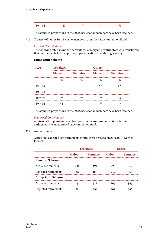| $-$ |  |
|-----|--|
|-----|--|

The assumed proportions in the 2010 basis for all members have been retained.

C.6 Transfer of Lump Sum Scheme members to another Superannuation Fund

### *Current Contributors*

The following table shows the percentages of resigning contributors who transferred their entitlements to an approved superannuation fund during 2010 13.

### **Lump Sum Scheme**

| Age       | <b>Teachers</b> |                |              |                |
|-----------|-----------------|----------------|--------------|----------------|
|           | <b>Males</b>    | <b>Females</b> | <b>Males</b> | <b>Females</b> |
|           | %               | %              | %            | %              |
| $35 - 39$ |                 |                | 50           | 25             |
| $40 - 44$ |                 |                |              |                |
| $45 - 49$ |                 |                | 21           | 15             |
| $50 - 54$ |                 | ⌒              |              |                |

The assumed proportions in the 2010 basis for all members have been retained.

### *Preserved Contributors*

A rate of 2% of preserved members per annum are assumed to transfer their entitlements to an approved superannuation fund.

C.7 Age Retirement

Actual and expected age retirements for the three years to 30 June 2013 were as follows:

|                             | <b>Teachers</b> |                |              | <b>Other</b>   |
|-----------------------------|-----------------|----------------|--------------|----------------|
|                             | <b>Males</b>    | <b>Females</b> | <b>Males</b> | <b>Females</b> |
| <b>Pension Scheme</b>       |                 |                |              |                |
| Actual retirements          | 431             | 179            | 476          | 64             |
| <b>Expected retirements</b> | 364             | 163            | 412          | 74             |
| <b>Lump Sum Scheme</b>      |                 |                |              |                |
| Actual retirements          | 65              | 312            | 205          | 355            |
| <b>Expected retirements</b> |                 |                | 302          | २०५            |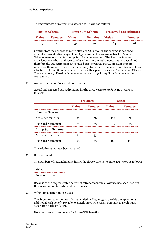| <b>Pension Scheme</b> |                | <b>Lump Sum Scheme</b> |                | <b>Preserved Contributors</b> |                |
|-----------------------|----------------|------------------------|----------------|-------------------------------|----------------|
| <b>Males</b>          | <b>Females</b> | <b>Males</b>           | <b>Females</b> | <b>Males</b>                  | <b>Females</b> |
| 39                    | 40.            | 34                     | 30             | nл                            | 58             |

The percentages of retirements before age 60 were as follows:

Contributors may choose to retire after age 55, although the scheme is designed around a normal retiring age of 60. Age retirement rates are higher for Pension Scheme members than for Lump Sum Scheme members. The Pension Scheme experience over the last three years has shown more retirements than expected and therefore the age retirement rates have been increased. For Lump Sum Scheme members, there were less retirements except for female teachers. New rates have been adopted for Lump Sum Scheme members with separate rates for Teachers and Others. There are now 91 Pension Scheme members and 255 Lump Sum Scheme members over age 65.

#### C.8 Age Retirement of Preserved Contributors

Actual and expected age retirements for the three years to 30 June 2013 were as follows:

|                             | <b>Teachers</b> |                | <b>Other</b> |                |
|-----------------------------|-----------------|----------------|--------------|----------------|
|                             | <b>Males</b>    | <b>Females</b> | <b>Males</b> | <b>Females</b> |
| <b>Pension Scheme</b>       |                 |                |              |                |
| Actual retirements          | 33              | 26             | 133          | 22             |
| <b>Expected retirements</b> |                 | 55             | 312          | 55             |
| <b>Lump Sum Scheme</b>      |                 |                |              |                |
| Actual retirements          |                 | 33             |              | 82             |
| <b>Expected retirements</b> |                 |                |              |                |

The existing rates have been retained.

#### C.9 Retrenchment

The numbers of retrenchments during the three years to 30 June 2013 were as follows:

Males 4 Females —

Because of the unpredictable nature of retrenchment no allowance has been made in this investigation for future retrenchments.

#### C.10 Voluntary Separation Packages

The Superannuation Act was first amended in May 1993 to provide the option of an additional cash benefit payable to contributors who resign pursuant to a voluntary separation package (VSP).

No allowance has been made for future VSP benefits.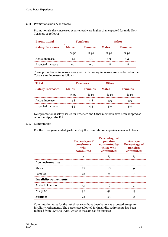### C.11 Promotional Salary Increases

Promotional salary increases experienced were higher than expected for male Non-Teachers as follows:

| <b>Promotional</b>       |              | <b>Teachers</b> |              | <b>Other</b>   |
|--------------------------|--------------|-----------------|--------------|----------------|
| <b>Salary Increases</b>  | <b>Males</b> | <b>Females</b>  | <b>Males</b> | <b>Females</b> |
|                          | % pa         | % pa            | % pa         | % pa           |
| Actual increase          | 1.1          | 1.1             | 1.3          | 1.4            |
| <b>Expected</b> increase | 0.5          | 0.5             | 1.8          | 1.8            |

These promotional increases, along with inflationary increases, were reflected in the Total salary increases as follows:

| <b>Total</b>             |                                | <b>Teachers</b> |              |                |
|--------------------------|--------------------------------|-----------------|--------------|----------------|
| <b>Salary Increases</b>  | <b>Females</b><br><b>Males</b> |                 | <b>Males</b> | <b>Females</b> |
|                          | % pa                           | % pa            | % pa         | % pa           |
| Actual increase          | 4.8                            | 4.8             | 3.9          | 3.9            |
| <b>Expected</b> increase | 4.5                            | 4.5             | 5.9          |                |

New promotional salary scales for Teachers and Other members have been adopted as set out in Appendix E.7.

#### C.12 Commutation

For the three years ended 30 June 2013 the commutation experience was as follows:

|                               | <b>Percentage of</b><br>who<br>commuted | <b>Percentage of</b><br>pension<br>pensioners commuted by Percentage of<br>those who<br>commuted | <b>Average</b><br>pension<br>commuted |
|-------------------------------|-----------------------------------------|--------------------------------------------------------------------------------------------------|---------------------------------------|
|                               | $\%$                                    | ℅                                                                                                |                                       |
| Age retirements:              |                                         |                                                                                                  |                                       |
| Males                         | 27                                      | 28                                                                                               | q                                     |
| Females                       | 28                                      | 31                                                                                               | 10                                    |
| <b>Invalidity retirements</b> |                                         |                                                                                                  |                                       |
| At start of pension           | 13                                      | 19                                                                                               |                                       |
| At age 60                     |                                         |                                                                                                  | 13                                    |
| <b>Spouses</b>                | 28                                      |                                                                                                  | 16                                    |

Commutation rates for the last three years have been largely as expected except for invalidity retirements. The percentage adopted for invalidity retirements has been reduced from 17.5% to 15.0% which is the same as for spouses.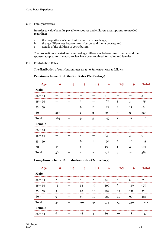### C.13 Family Statistics

In order to value benefits payable to spouses and children, assumptions are needed regarding:

- a the proportions of contributors married at each age;
- b the age differences between contributors and their spouses; and
- c details of the children of contributors.

The proportions married and assumed age differences between contributors and their spouses adopted for the 2010 review have been retained for males and females.

#### C.14 Contribution Rates

The distribution of contribution rates as at 30 June 2013 was as follows:

#### **Pension Scheme Contribution Rates (% of salary)**

| Age         | $\Omega$ | 1.5 | 3              | 4.5          | 6   | 7.5          | 9  | <b>Total</b> |
|-------------|----------|-----|----------------|--------------|-----|--------------|----|--------------|
| <b>Male</b> |          |     |                |              |     |              |    |              |
| $35 - 44$   |          |     |                |              | 3   |              |    | 3            |
| $45 - 54$   |          |     | $\overline{2}$ |              | 167 | 3            | 3  | 175          |
| $55 - 59$   |          |     | 6              | $\mathbf{2}$ | 629 | 6            | 15 | 658          |
| $60 -$      | 265      |     | 1              | 3            | 50  | 3            | 3  | 325          |
| Total       | 265      |     | 9              | 5            | 849 | 12           | 21 | 1,161        |
| Female      |          |     |                |              |     |              |    |              |
| $35 - 44$   |          |     |                |              |     |              |    |              |
| $45 - 54$   |          |     |                |              | 83  | $\mathbf{2}$ | 3  | 92           |
| $55 - 59$   | 1        |     | 6              | $\mathbf{2}$ | 150 | 6            | 20 | 185          |
| $60 -$      | 55       |     | 1              |              | 45  | 1            | 4  | 106          |
| Total       | 56       |     | 11             | $\mathbf{2}$ | 278 | 9            | 27 | 383          |

### **Lump Sum Scheme Contribution Rates (% of salary)**

|           |    | 3   | 4.5            | 6   | 7.5 | 9   | <b>Total</b> |
|-----------|----|-----|----------------|-----|-----|-----|--------------|
| Male      |    |     |                |     |     |     |              |
| $35 - 44$ | 2  |     | $\overline{2}$ | 53  | 5   | 5   | 71           |
| $45 - 54$ | 15 | 55  | 19             | 399 | 61  | 130 | 679          |
| $55 - 59$ | 5  | 67  | 10             | 299 | 39  | 131 | 551          |
| $60 -$    |    | 65  | 10             | 222 | 25  | 90  | 121          |
| Total     | 31 | 191 | 41             | 973 | 130 | 356 | 1,722        |
| Female    |    |     |                |     |     |     |              |
| $35 - 44$ | h  | 28  |                |     | 10  | 18  | 155          |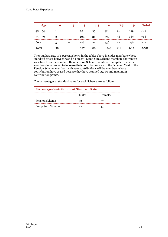|           |    | 1.5 |     | 4.5 | b    | 7.5 |     | Total |
|-----------|----|-----|-----|-----|------|-----|-----|-------|
| $45 - 54$ | 16 |     |     | 35  |      | 96  | 199 | 841   |
| $55 - 59$ |    |     | 104 |     | 390  | 58  | 189 | 768   |
|           | ה. |     | 128 | 25  | 336  |     | 196 | 737   |
| Total     | 30 |     | 327 | 88  | .243 | 211 | 602 | 2,501 |

The standard rate of 6 percent shown in the tables above includes members whose standard rate is between 5 and 6 percent. Lump Sum Scheme members show more variation from the standard than Pension Scheme members. Lump Sum Scheme members have tended to increase their contribution rate to the Scheme. Most of the Pension Scheme members with zero contributions will be members whose contribution have ceased because they have attained age 60 and maximum contribution points.

The percentages at standard rates for each Scheme are as follows:

| <b>Percentage Contribution At Standard Rate</b> |        |         |  |
|-------------------------------------------------|--------|---------|--|
|                                                 | Males  | Females |  |
| Pension Scheme                                  | 73     | 73      |  |
| Lump Sum Scheme                                 | $\sim$ | 50      |  |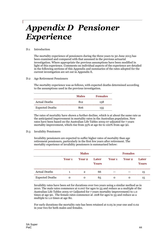# *Appendix D Pensioner Experience*

### D.1 Introduction

The mortality experience of pensioners during the three years to 30 June 2013 has been examined and compared with that assumed in the previous actuarial investigation. Where appropriate the previous assumptions have been modified in light of this experience. Comments on individual aspects of the experience are detailed in the following sections of this Appendix and summaries of the rates adopted for the current investigation are set out in Appendix E.

### D.2 Age Retirement Pensioners

The mortality experience was as follows, with expected deaths determined according to the assumptions used in the previous investigation.

|                        | <b>Males</b> | <b>Females</b> |
|------------------------|--------------|----------------|
| <b>Actual Deaths</b>   | 812.         | 158            |
| <b>Expected Deaths</b> | 806          | 155            |

The rates of mortality have shown a further decline, which is at about the same rate as the anticipated improvement in mortality rates in the Australian population. New rates have been based on the Australian Life Tables 2005-07 adjusted for 7 years mortality improvement, which rise from 55% at age 60 to 100% from age 90.

### D.3 Invalidity Pensioners

Invalidity pensioners are expected to suffer higher rates of mortality than age retirement pensioners, particularly in the first few years after retirement. The mortality experience of invalidity pensioners is summarised below:

|                        |               | <b>Males</b>  |                       |               | <b>Females</b> |                       |  |
|------------------------|---------------|---------------|-----------------------|---------------|----------------|-----------------------|--|
|                        | <b>Year 1</b> | <b>Year 2</b> | Later<br><b>Years</b> | <b>Year 1</b> | <b>Year 2</b>  | Later<br><b>Years</b> |  |
| <b>Actual Deaths</b>   |               | 2             | 66                    |               |                | 15                    |  |
| <b>Expected Deaths</b> | Ω             |               | 65                    | Ω             | O              | 1'n                   |  |

Invalidity rates have been set for durations over two years using a similar method as in 2010. The male rates commence at 0.007 for ages to 55 and reduce as a multiple of the Australian Life Tables 2005-07 (adjusted for 7 years mortality improvement) to 1.0 times at age 90. The female rates commence at .008 for ages to 55 and reduce as a multiple to 1.0 times at age 80.

For early durations the mortality rate has been retained at 0.05 in year one and 0.02 in year two for both males and females.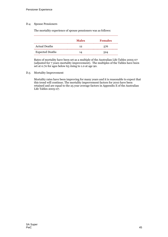### D.4 Spouse Pensioners

The mortality experience of spouse pensioners was as follows:

|                        | <b>Males</b> | <b>Females</b> |
|------------------------|--------------|----------------|
| <b>Actual Deaths</b>   | 12.          | 576            |
| <b>Expected Deaths</b> | 1 / 1        | 524            |

Rates of mortality have been set as a multiple of the Australian Life Tables 2005-07 (adjusted for 7 years mortality improvement). The multiples of the Tables have been set at 0.70 for ages below 65 rising to 1.0 at age 90.

#### D.5 Mortality Improvement

Mortality rates have been improving for many years and it is reasonable to expect that this trend will continue. The mortality improvement factors for 2010 have been retained and are equal to the 25 year average factors in Appendix E of the Australian Life Tables 2005-07.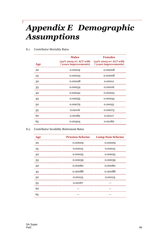# *Appendix E Demographic Assumptions*

|     | <b>Males</b> | <b>Females</b>                                                                             |
|-----|--------------|--------------------------------------------------------------------------------------------|
| Age |              | (32% 2005-07 ALT with (32% 2005-07 ALT with<br>7 years improvements) 7 years improvements) |
| 20  | 0.00019      | 0.00008                                                                                    |
| 25  | 0.00023      | 0.00008                                                                                    |
| 30  | 0.00028      | 0.00011                                                                                    |
| 35  | 0.00034      | 0.00016                                                                                    |
| 40  | 0.00042      | 0.00023                                                                                    |
| 45  | 0.00055      | 0.00034                                                                                    |
| 50  | 0.00079      | 0.00051                                                                                    |
| 55  | 0.00116      | 0.00073                                                                                    |
| 60  | 0.00182      | 0.00117                                                                                    |
| 65  | 0.00304      | 0.00182                                                                                    |

### E.1 Contributor Mortality Rates

### E.2 Contributor Invalidity Retirement Rates

| Age | <b>Pension Scheme</b> | <b>Lump Sum Scheme</b> |
|-----|-----------------------|------------------------|
| 20  | 0.00009               | 0.00009                |
| 25  | 0.00015               | 0.00015                |
| 30  | 0.00025               | 0.00025                |
| 35  | 0.00039               | 0.00039                |
| 40  | 0.00060               | 0.00060                |
| 45  | 0.00088               | 0.00088                |
| 50  | 0.00123               | 0.00123                |
| 55  | 0.00167               |                        |
| 60  |                       |                        |
| 65  |                       |                        |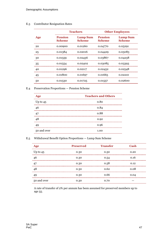|     |                                 | <b>Teachers</b>                  |                                 | <b>Other Employees</b>           |
|-----|---------------------------------|----------------------------------|---------------------------------|----------------------------------|
| Age | <b>Pension</b><br><b>Scheme</b> | <b>Lump Sum</b><br><b>Scheme</b> | <b>Pension</b><br><b>Scheme</b> | <b>Lump Sum</b><br><b>Scheme</b> |
| 20  | 0.00900                         | 0.01260                          | 0.04770                         | 0.05291                          |
| 25  | 0.01384                         | 0.02016                          | 0.04429                         | 0.05083                          |
| 30  | 0.01559                         | 0.02436                          | 0.03867                         | 0.04238                          |
| 35  | 0.01554                         | 0.02402                          | 0.03085                         | 0.03393                          |
| 40  | 0.01296                         | 0.02117                          | 0.02452                         | 0.02548                          |
| 45  | 0.01800                         | 0.01697                          | 0.01665                         | 0.02210                          |
| 50  | 0.01530                         | 0.01725                          | 0.01557                         | 0.02600                          |

### E.3 Contributor Resignation Rates

E.4 Preservation Proportions — Pension Scheme

| Age         | <b>Teachers and Others</b> |
|-------------|----------------------------|
| Up to $45$  | 0.80                       |
| 46          | 0.84                       |
| 47          | 0.88                       |
| 48          | 0.92                       |
|             | 0.96                       |
| 50 and over | 1.00                       |

### E.5 Withdrawal Benefit Option Proportions — Lump Sum Scheme

|             | <b>Preserved</b> | <b>Transfer</b> | Cash     |
|-------------|------------------|-----------------|----------|
| Up to $45$  | 0.30             | 0.50            | 0.20     |
| 46          | 0.30             | 0.54<br>        | 0.16<br> |
| 47          | 0.30             | 0.58            | 0.12     |
| 48          | 0.30             | 0.62            | 0.08     |
| 49          | 0.30             | 0.66            | 0.04     |
| 50 and over | 0.30             | 0.70            |          |

A rate of transfer of 2% per annum has been assumed for preserved members up to age 55.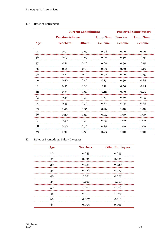### E.6 Rates of Retirement

|     |                       | <b>Current Contributors</b> |                 |                | <b>Preserved Contributors</b> |  |
|-----|-----------------------|-----------------------------|-----------------|----------------|-------------------------------|--|
|     | <b>Pension Scheme</b> |                             | <b>Lump Sum</b> | <b>Pension</b> | <b>Lump Sum</b>               |  |
| Age | <b>Teachers</b>       | <b>Others</b>               | <b>Scheme</b>   | <b>Scheme</b>  | <b>Scheme</b>                 |  |
| 55  | 0.07                  | 0.07                        | 0.08            | 0.50           | 0.40                          |  |
| 56  | 0.07                  | 0.07                        | 0.06            | 0.50           | 0.15                          |  |
| 57  | 0.11                  | 0.10                        | 0.06            | 0.50           | 0.15                          |  |
| 58  | 0.16                  | 0.13                        | 0.06            | 0.50           | 0.15                          |  |
| 59  | 0.23                  | 0.17                        | 0.07            | 0.50           | 0.15                          |  |
| 60  | 0.50                  | 0.40                        | 0.13            | 0.50           | 0.25                          |  |
| 61  | 0.35                  | 0.30                        | 0.12            | 0.50           | 0.25                          |  |
| 62  | 0.35                  | 0.30                        | 0.12            | 0.50           | 0.25                          |  |
| 63  | 0.35                  | 0.30                        | 0.17            | 0.50           | 0.25                          |  |
| 64  | 0.35                  | 0.30                        | 0.22            | 0.75           | 0.25                          |  |
| 65  | 0.40                  | 0.35                        | 0.26            | 1.00           | 1.00                          |  |
| 66  | 0.30                  | 0.30                        | 0.25            | 1.00           | 1.00                          |  |
| 67  | 0.30                  | 0.30                        | 0.25            | 1.00           | 1.00                          |  |
| 68  | 0.30                  | 0.30                        | 0.25            | 1.00           | 1.00                          |  |
| 69  | 0.30                  | 0.30                        | 0.25            | 1.00           | 1.00                          |  |

### E.7 Rates of Promotional Salary Increases

| Age | <b>Teachers</b> | <b>Other Employees</b> |
|-----|-----------------|------------------------|
| 20  | 0.045           | 0.039                  |
| 25  | 0.038           | 0.035                  |
| 30  | 0.032           | 0.030                  |
| 35  | 0.026           | 0.027                  |
| 40  | 0.021           | 0.023                  |
| 45  | 0.017           | 0.019                  |
| 50  | 0.013           | 0.016                  |
| 55  | 0.010           | 0.013                  |
| 60  | 0.007           | 0.010                  |
| 65  | 0.005           | 0.008                  |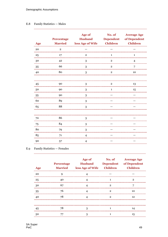### E.8 Family Statistics — Males

| Age    | <b>Percentage</b><br><b>Married</b> | Age of<br><b>Husband</b><br>less Age of Wife | No. of<br><b>Dependent</b><br><b>Children</b> | <b>Average Age</b><br>of Dependent<br><b>Children</b> |
|--------|-------------------------------------|----------------------------------------------|-----------------------------------------------|-------------------------------------------------------|
| 20     | $\mathbf{2}$                        |                                              |                                               |                                                       |
| 25     | 17                                  | $\overline{2}$                               | 1                                             | 1                                                     |
| 30     | 42                                  | 3                                            | $\overline{2}$                                | 4                                                     |
| 35     | 66                                  | 3                                            | $\overline{2}$                                | 7                                                     |
| 40     | 80                                  | 3                                            | 2                                             | 10                                                    |
|        |                                     |                                              |                                               |                                                       |
| 45     | 90                                  | 3                                            | $\overline{2}$                                | 13                                                    |
| 50     | 90                                  | 3                                            | 1                                             | 15                                                    |
| 55     | 90                                  | 3                                            |                                               |                                                       |
| 60     | 89                                  | 3                                            |                                               |                                                       |
| 65     | 88                                  | 3                                            |                                               |                                                       |
|        |                                     |                                              |                                               |                                                       |
| 70     | 86                                  | 3                                            |                                               |                                                       |
| 75     | 84                                  | 3                                            |                                               |                                                       |
| 80     | 79                                  | 3                                            |                                               |                                                       |
| 85     | 71                                  | 4                                            |                                               |                                                       |
| <br>90 | 57                                  | $\overline{4}$                               |                                               |                                                       |

### E.9 Family Statistics — Females

| <b>Age</b> | <b>Percentage</b> | Age of<br>Married less Age of Wife Children |              | No. of Average Age<br>Husband Dependent of Dependent<br><b>Children</b> |
|------------|-------------------|---------------------------------------------|--------------|-------------------------------------------------------------------------|
| 20         |                   |                                             |              |                                                                         |
| 25         | ⊿ດ                |                                             |              | 9                                                                       |
| 30         | 67                |                                             | 2            |                                                                         |
| 35         | 76                |                                             | 2            | 10                                                                      |
| 40         | 78                |                                             | $\mathbf{2}$ | 12                                                                      |
|            |                   |                                             |              |                                                                         |
| 45         |                   | 3                                           |              |                                                                         |
| 50         |                   | 3                                           |              | 15                                                                      |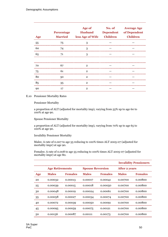| Age | <b>Percentage</b> | <b>Age of</b><br><b>Husband</b><br>Married less Age of Wife Children | No. of Average Age<br><b>Dependent</b> of Dependent<br><b>Children</b> |
|-----|-------------------|----------------------------------------------------------------------|------------------------------------------------------------------------|
| 55  | 75                | 3                                                                    |                                                                        |
| 60  | 74                | 3                                                                    |                                                                        |
| 65  | 71                | 3                                                                    |                                                                        |
|     |                   |                                                                      |                                                                        |
| 70  | 67                | $\mathbf{2}$                                                         |                                                                        |
| 75  | 61                | $\mathbf{2}$                                                         |                                                                        |
| 80  | 50                | $\mathbf{2}$                                                         |                                                                        |
| 85  | <br>35            | 2                                                                    |                                                                        |
| 90  |                   | $\mathbf{2}$                                                         |                                                                        |

### E.10 Pensioner Mortality Rates

Pensioner Mortality

a proportion of ALT (adjusted for mortality imp), varying from 55% up to age 60 to 100% at age 90.

Spouse Pensioner Mortality

a proportion of ALT (adjusted for mortality imp), varying from 70% up to age 65 to 100% at age 90.

### Invalidity Pensioner Mortality

Males: A rate of 0.007 to age 55 reducing to 100% times ALT 2005-07 (adjusted for mortality impr) at age 90.

Females: A rate of 0.008 to age 55 reducing to 100% times ALT 2005-07 (adjusted for mortality impr) at age 80.

|     |                        |                |                         |                |                      | <b>Invalidity Pensioners</b> |
|-----|------------------------|----------------|-------------------------|----------------|----------------------|------------------------------|
|     | <b>Age Retirements</b> |                | <b>Spouse Reversion</b> |                | <b>After 2 years</b> |                              |
| Age | <b>Males</b>           | <b>Females</b> | <b>Males</b>            | <b>Females</b> | <b>Males</b>         | <b>Females</b>               |
| 20  | 0.00032                | 0.00013        | 0.00017                 | 0.00041        | 0.00700              | 0.00800                      |
| 25  | 0.00039                | 0.00015        | 0.00018                 | 0.00050        | 0.00700              | 0.00800                      |
| 30  | 0.00048                | 0.00019        | 0.00024                 | 0.00061        | 0.00700              | 0.00800                      |
| 35  | 0.00058                | 0.00027        | 0.00034                 | 0.00074        | 0.00700              | 0.00800                      |
| 40  | 0.00072                | 0.00039        | 0.00050                 | 0.00091        | 0.00700              | 0.00800                      |
| 45  | 0.00095                | 0.00059        | 0.00075                 | 0.00121        | 0.00700              | 0.00800                      |
| 50  | 0.00136                | 0.00087        | 0.00111                 | 0.00173        | 0.00700              | 0.00800                      |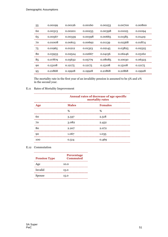| 55 | 0.00199 | 0.00126 | 0.00160 | 0.00253 | 0.00700 | 0.00800 |
|----|---------|---------|---------|---------|---------|---------|
| 60 | 0.00313 | 0.00201 | 0.00255 | 0.00398 | 0.01025 | 0.01094 |
| 65 | 0.00567 | 0.00339 | 0.00398 | 0.00665 | 0.01585 | 0.01419 |
| 70 | 0.01008 | 0.00613 | 0.00692 | 0.01139 | 0.02368 | 0.01874 |
| 75 | 0.01965 | 0.01212 | 0.01323 | 0.02145 | 0.03825 | 0.02525 |
| 80 | 0.03933 | 0.02524 | 0.02667 | 0.04156 | 0.06246 | 0.03162 |
| 85 | 0.07879 | 0.05632 | 0.05779 | 0.08085 | 0.10030 | 0.06323 |
| 90 | 0.15108 | 0.12175 | 0.12175 | 0.15108 | 0.15108 | 0.12175 |
| 95 | 0.21868 | 0.19928 | 0.19928 | 0.21868 | 0.21868 | 0.19928 |

The mortality rate in the first year of an invalidity pension is assumed to be 5% and 2% in the second year.

### E.11 Rates of Mortality Improvement

|     |              | Annual rates of decrease of age specific<br>mortality rates |  |  |  |
|-----|--------------|-------------------------------------------------------------|--|--|--|
| Age | <b>Males</b> | <b>Females</b>                                              |  |  |  |
|     | %            | %                                                           |  |  |  |
| 60  | 3.337        | 2.518                                                       |  |  |  |
| 70  | 3.082        | 2.452                                                       |  |  |  |
| 80  | 2.207        | 2.072                                                       |  |  |  |
| 90  | 1.067        | 1.035                                                       |  |  |  |
| 100 | 0.514        | 0.469                                                       |  |  |  |

### E.12 Commutation

| <b>Pension Type</b> | <b>Percentage</b><br><b>Commuted</b> |
|---------------------|--------------------------------------|
| Age                 | 10.0                                 |
| Invalid             | 15.0                                 |
| Spouse              | 15.0                                 |